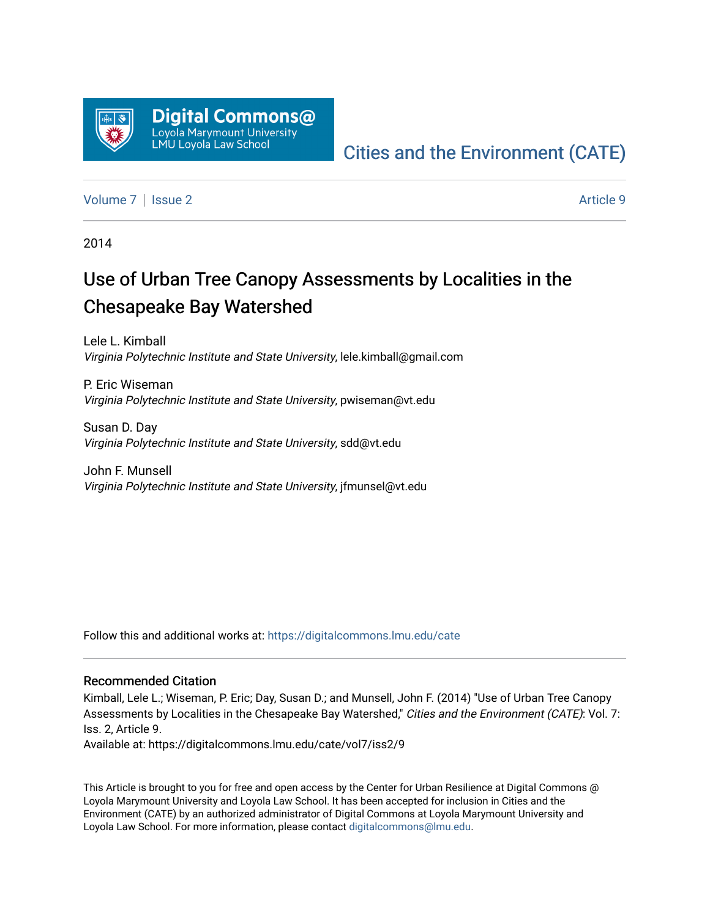

# [Cities and the Environment \(CATE\)](https://digitalcommons.lmu.edu/cate)

[Volume 7](https://digitalcommons.lmu.edu/cate/vol7) | [Issue 2](https://digitalcommons.lmu.edu/cate/vol7/iss2) Article 9

2014

# Use of Urban Tree Canopy Assessments by Localities in the Chesapeake Bay Watershed

Lele L. Kimball Virginia Polytechnic Institute and State University, lele.kimball@gmail.com

P. Eric Wiseman Virginia Polytechnic Institute and State University, pwiseman@vt.edu

Susan D. Day Virginia Polytechnic Institute and State University, sdd@vt.edu

John F. Munsell Virginia Polytechnic Institute and State University, jfmunsel@vt.edu

Follow this and additional works at: [https://digitalcommons.lmu.edu/cate](https://digitalcommons.lmu.edu/cate?utm_source=digitalcommons.lmu.edu%2Fcate%2Fvol7%2Fiss2%2F9&utm_medium=PDF&utm_campaign=PDFCoverPages) 

#### Recommended Citation

Kimball, Lele L.; Wiseman, P. Eric; Day, Susan D.; and Munsell, John F. (2014) "Use of Urban Tree Canopy Assessments by Localities in the Chesapeake Bay Watershed," Cities and the Environment (CATE): Vol. 7: Iss. 2, Article 9.

Available at: https://digitalcommons.lmu.edu/cate/vol7/iss2/9

This Article is brought to you for free and open access by the Center for Urban Resilience at Digital Commons @ Loyola Marymount University and Loyola Law School. It has been accepted for inclusion in Cities and the Environment (CATE) by an authorized administrator of Digital Commons at Loyola Marymount University and Loyola Law School. For more information, please contact [digitalcommons@lmu.edu](mailto:digitalcommons@lmu.edu).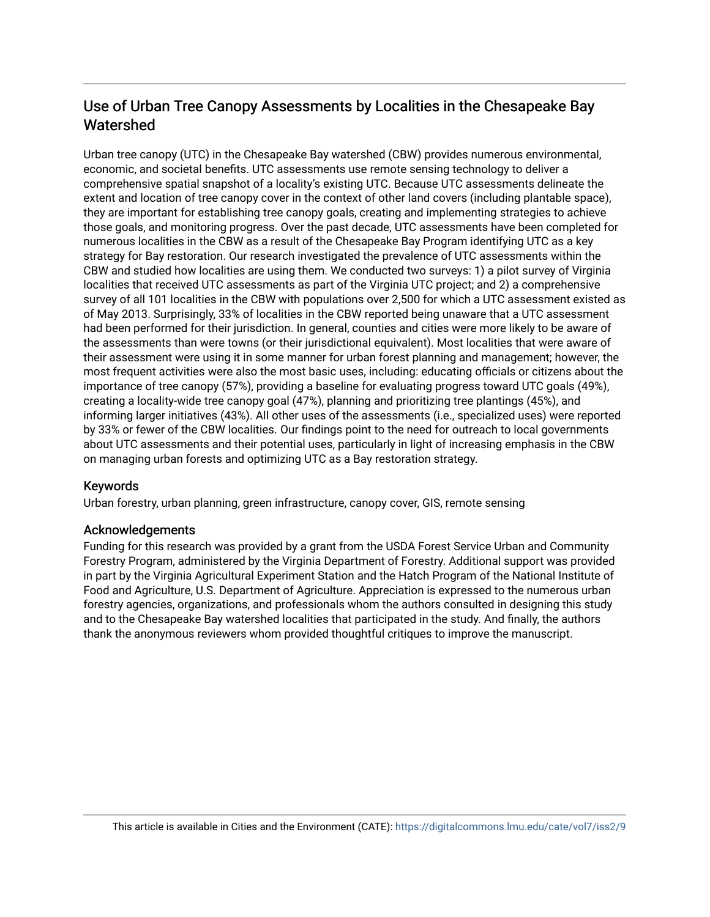## Use of Urban Tree Canopy Assessments by Localities in the Chesapeake Bay Watershed

Urban tree canopy (UTC) in the Chesapeake Bay watershed (CBW) provides numerous environmental, economic, and societal benefits. UTC assessments use remote sensing technology to deliver a comprehensive spatial snapshot of a locality's existing UTC. Because UTC assessments delineate the extent and location of tree canopy cover in the context of other land covers (including plantable space), they are important for establishing tree canopy goals, creating and implementing strategies to achieve those goals, and monitoring progress. Over the past decade, UTC assessments have been completed for numerous localities in the CBW as a result of the Chesapeake Bay Program identifying UTC as a key strategy for Bay restoration. Our research investigated the prevalence of UTC assessments within the CBW and studied how localities are using them. We conducted two surveys: 1) a pilot survey of Virginia localities that received UTC assessments as part of the Virginia UTC project; and 2) a comprehensive survey of all 101 localities in the CBW with populations over 2,500 for which a UTC assessment existed as of May 2013. Surprisingly, 33% of localities in the CBW reported being unaware that a UTC assessment had been performed for their jurisdiction. In general, counties and cities were more likely to be aware of the assessments than were towns (or their jurisdictional equivalent). Most localities that were aware of their assessment were using it in some manner for urban forest planning and management; however, the most frequent activities were also the most basic uses, including: educating officials or citizens about the importance of tree canopy (57%), providing a baseline for evaluating progress toward UTC goals (49%), creating a locality-wide tree canopy goal (47%), planning and prioritizing tree plantings (45%), and informing larger initiatives (43%). All other uses of the assessments (i.e., specialized uses) were reported by 33% or fewer of the CBW localities. Our findings point to the need for outreach to local governments about UTC assessments and their potential uses, particularly in light of increasing emphasis in the CBW on managing urban forests and optimizing UTC as a Bay restoration strategy.

#### Keywords

Urban forestry, urban planning, green infrastructure, canopy cover, GIS, remote sensing

#### Acknowledgements

Funding for this research was provided by a grant from the USDA Forest Service Urban and Community Forestry Program, administered by the Virginia Department of Forestry. Additional support was provided in part by the Virginia Agricultural Experiment Station and the Hatch Program of the National Institute of Food and Agriculture, U.S. Department of Agriculture. Appreciation is expressed to the numerous urban forestry agencies, organizations, and professionals whom the authors consulted in designing this study and to the Chesapeake Bay watershed localities that participated in the study. And finally, the authors thank the anonymous reviewers whom provided thoughtful critiques to improve the manuscript.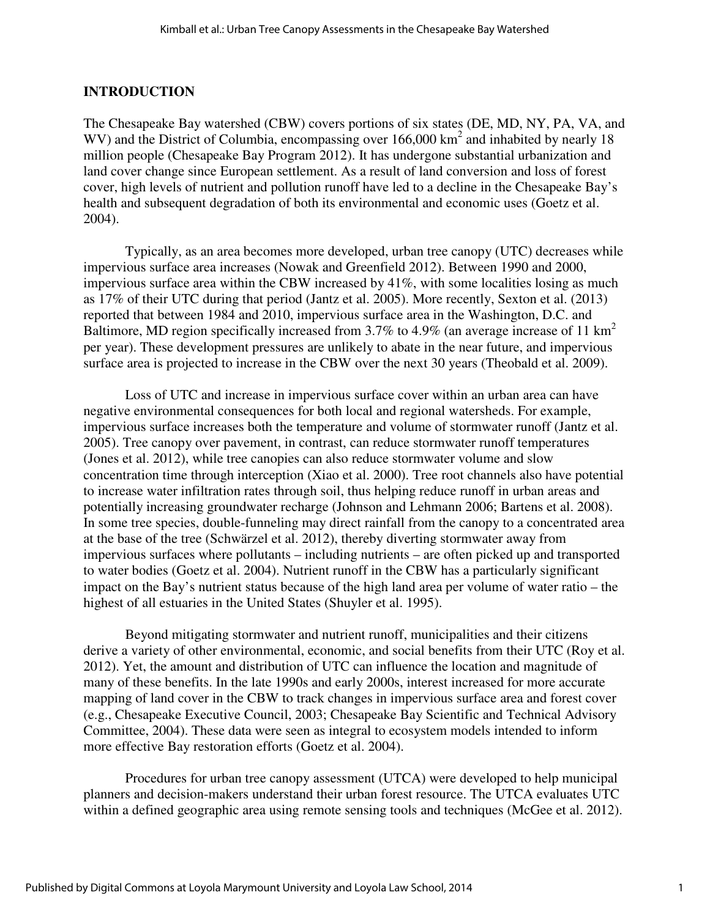### **INTRODUCTION**

The Chesapeake Bay watershed (CBW) covers portions of six states (DE, MD, NY, PA, VA, and WV) and the District of Columbia, encompassing over  $166,000 \text{ km}^2$  and inhabited by nearly 18 million people (Chesapeake Bay Program 2012). It has undergone substantial urbanization and land cover change since European settlement. As a result of land conversion and loss of forest cover, high levels of nutrient and pollution runoff have led to a decline in the Chesapeake Bay's health and subsequent degradation of both its environmental and economic uses (Goetz et al. 2004).

Typically, as an area becomes more developed, urban tree canopy (UTC) decreases while impervious surface area increases (Nowak and Greenfield 2012). Between 1990 and 2000, impervious surface area within the CBW increased by 41%, with some localities losing as much as 17% of their UTC during that period (Jantz et al. 2005). More recently, Sexton et al. (2013) reported that between 1984 and 2010, impervious surface area in the Washington, D.C. and Baltimore, MD region specifically increased from  $3.7\%$  to  $4.9\%$  (an average increase of 11 km<sup>2</sup> per year). These development pressures are unlikely to abate in the near future, and impervious surface area is projected to increase in the CBW over the next 30 years (Theobald et al. 2009).

Loss of UTC and increase in impervious surface cover within an urban area can have negative environmental consequences for both local and regional watersheds. For example, impervious surface increases both the temperature and volume of stormwater runoff (Jantz et al. 2005). Tree canopy over pavement, in contrast, can reduce stormwater runoff temperatures (Jones et al. 2012), while tree canopies can also reduce stormwater volume and slow concentration time through interception (Xiao et al. 2000). Tree root channels also have potential to increase water infiltration rates through soil, thus helping reduce runoff in urban areas and potentially increasing groundwater recharge (Johnson and Lehmann 2006; Bartens et al. 2008). In some tree species, double-funneling may direct rainfall from the canopy to a concentrated area at the base of the tree (Schwärzel et al. 2012), thereby diverting stormwater away from impervious surfaces where pollutants – including nutrients – are often picked up and transported to water bodies (Goetz et al. 2004). Nutrient runoff in the CBW has a particularly significant impact on the Bay's nutrient status because of the high land area per volume of water ratio – the highest of all estuaries in the United States (Shuyler et al. 1995).

Beyond mitigating stormwater and nutrient runoff, municipalities and their citizens derive a variety of other environmental, economic, and social benefits from their UTC (Roy et al. 2012). Yet, the amount and distribution of UTC can influence the location and magnitude of many of these benefits. In the late 1990s and early 2000s, interest increased for more accurate mapping of land cover in the CBW to track changes in impervious surface area and forest cover (e.g., Chesapeake Executive Council, 2003; Chesapeake Bay Scientific and Technical Advisory Committee, 2004). These data were seen as integral to ecosystem models intended to inform more effective Bay restoration efforts (Goetz et al. 2004).

Procedures for urban tree canopy assessment (UTCA) were developed to help municipal planners and decision-makers understand their urban forest resource. The UTCA evaluates UTC within a defined geographic area using remote sensing tools and techniques (McGee et al. 2012).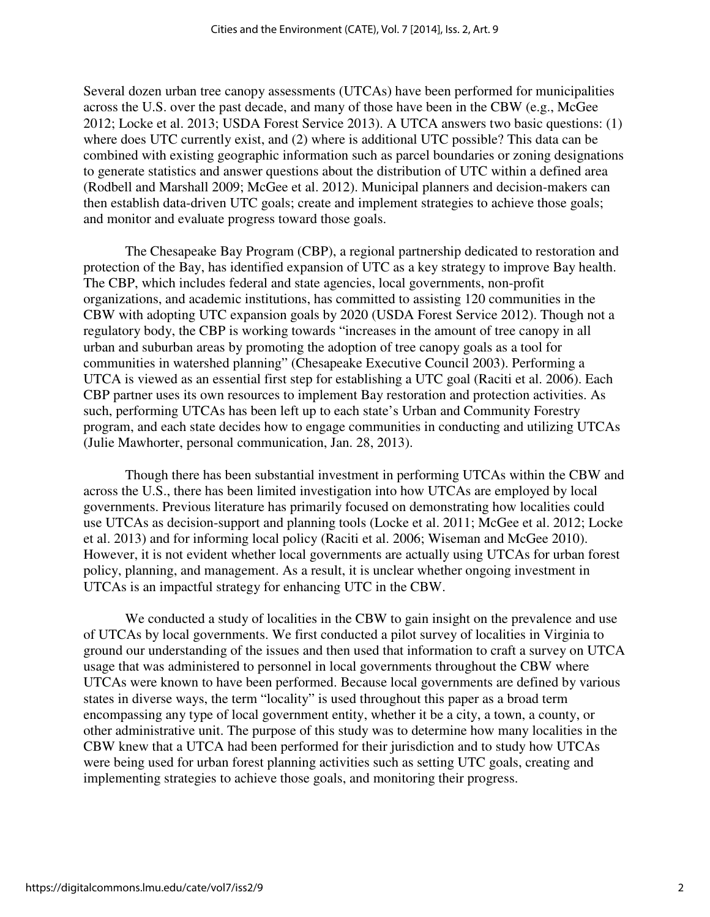Several dozen urban tree canopy assessments (UTCAs) have been performed for municipalities across the U.S. over the past decade, and many of those have been in the CBW (e.g., McGee 2012; Locke et al. 2013; USDA Forest Service 2013). A UTCA answers two basic questions: (1) where does UTC currently exist, and (2) where is additional UTC possible? This data can be combined with existing geographic information such as parcel boundaries or zoning designations to generate statistics and answer questions about the distribution of UTC within a defined area (Rodbell and Marshall 2009; McGee et al. 2012). Municipal planners and decision-makers can then establish data-driven UTC goals; create and implement strategies to achieve those goals; and monitor and evaluate progress toward those goals.

The Chesapeake Bay Program (CBP), a regional partnership dedicated to restoration and protection of the Bay, has identified expansion of UTC as a key strategy to improve Bay health. The CBP, which includes federal and state agencies, local governments, non-profit organizations, and academic institutions, has committed to assisting 120 communities in the CBW with adopting UTC expansion goals by 2020 (USDA Forest Service 2012). Though not a regulatory body, the CBP is working towards "increases in the amount of tree canopy in all urban and suburban areas by promoting the adoption of tree canopy goals as a tool for communities in watershed planning" (Chesapeake Executive Council 2003). Performing a UTCA is viewed as an essential first step for establishing a UTC goal (Raciti et al. 2006). Each CBP partner uses its own resources to implement Bay restoration and protection activities. As such, performing UTCAs has been left up to each state's Urban and Community Forestry program, and each state decides how to engage communities in conducting and utilizing UTCAs (Julie Mawhorter, personal communication, Jan. 28, 2013).

Though there has been substantial investment in performing UTCAs within the CBW and across the U.S., there has been limited investigation into how UTCAs are employed by local governments. Previous literature has primarily focused on demonstrating how localities could use UTCAs as decision-support and planning tools (Locke et al. 2011; McGee et al. 2012; Locke et al. 2013) and for informing local policy (Raciti et al. 2006; Wiseman and McGee 2010). However, it is not evident whether local governments are actually using UTCAs for urban forest policy, planning, and management. As a result, it is unclear whether ongoing investment in UTCAs is an impactful strategy for enhancing UTC in the CBW.

We conducted a study of localities in the CBW to gain insight on the prevalence and use of UTCAs by local governments. We first conducted a pilot survey of localities in Virginia to ground our understanding of the issues and then used that information to craft a survey on UTCA usage that was administered to personnel in local governments throughout the CBW where UTCAs were known to have been performed. Because local governments are defined by various states in diverse ways, the term "locality" is used throughout this paper as a broad term encompassing any type of local government entity, whether it be a city, a town, a county, or other administrative unit. The purpose of this study was to determine how many localities in the CBW knew that a UTCA had been performed for their jurisdiction and to study how UTCAs were being used for urban forest planning activities such as setting UTC goals, creating and implementing strategies to achieve those goals, and monitoring their progress.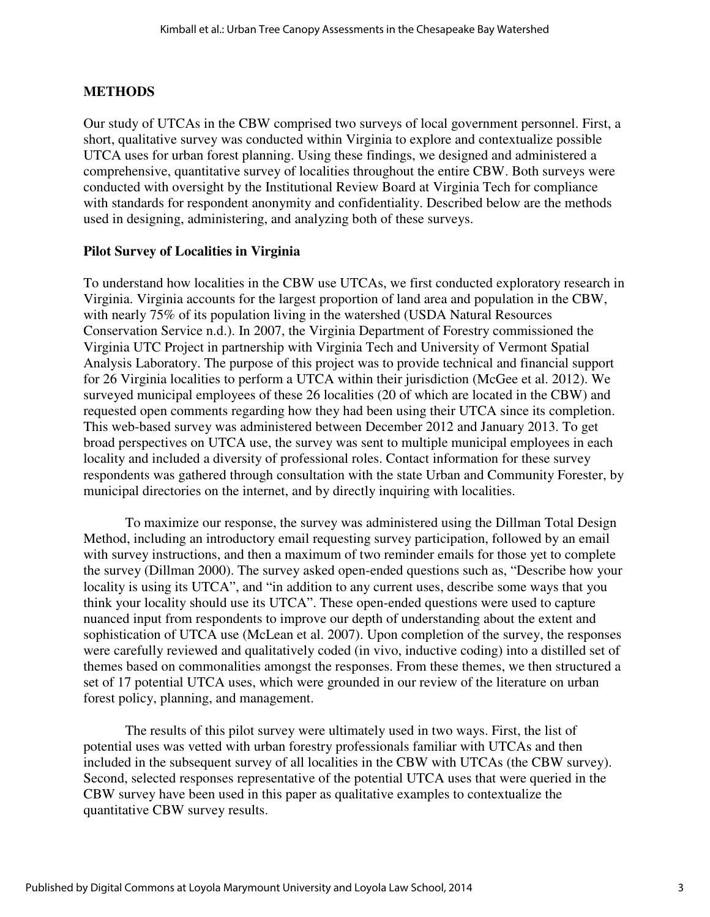### **METHODS**

Our study of UTCAs in the CBW comprised two surveys of local government personnel. First, a short, qualitative survey was conducted within Virginia to explore and contextualize possible UTCA uses for urban forest planning. Using these findings, we designed and administered a comprehensive, quantitative survey of localities throughout the entire CBW. Both surveys were conducted with oversight by the Institutional Review Board at Virginia Tech for compliance with standards for respondent anonymity and confidentiality. Described below are the methods used in designing, administering, and analyzing both of these surveys.

#### **Pilot Survey of Localities in Virginia**

To understand how localities in the CBW use UTCAs, we first conducted exploratory research in Virginia. Virginia accounts for the largest proportion of land area and population in the CBW, with nearly 75% of its population living in the watershed (USDA Natural Resources Conservation Service n.d.). In 2007, the Virginia Department of Forestry commissioned the Virginia UTC Project in partnership with Virginia Tech and University of Vermont Spatial Analysis Laboratory. The purpose of this project was to provide technical and financial support for 26 Virginia localities to perform a UTCA within their jurisdiction (McGee et al. 2012). We surveyed municipal employees of these 26 localities (20 of which are located in the CBW) and requested open comments regarding how they had been using their UTCA since its completion. This web-based survey was administered between December 2012 and January 2013. To get broad perspectives on UTCA use, the survey was sent to multiple municipal employees in each locality and included a diversity of professional roles. Contact information for these survey respondents was gathered through consultation with the state Urban and Community Forester, by municipal directories on the internet, and by directly inquiring with localities.

To maximize our response, the survey was administered using the Dillman Total Design Method, including an introductory email requesting survey participation, followed by an email with survey instructions, and then a maximum of two reminder emails for those yet to complete the survey (Dillman 2000). The survey asked open-ended questions such as, "Describe how your locality is using its UTCA", and "in addition to any current uses, describe some ways that you think your locality should use its UTCA". These open-ended questions were used to capture nuanced input from respondents to improve our depth of understanding about the extent and sophistication of UTCA use (McLean et al. 2007). Upon completion of the survey, the responses were carefully reviewed and qualitatively coded (in vivo, inductive coding) into a distilled set of themes based on commonalities amongst the responses. From these themes, we then structured a set of 17 potential UTCA uses, which were grounded in our review of the literature on urban forest policy, planning, and management.

The results of this pilot survey were ultimately used in two ways. First, the list of potential uses was vetted with urban forestry professionals familiar with UTCAs and then included in the subsequent survey of all localities in the CBW with UTCAs (the CBW survey). Second, selected responses representative of the potential UTCA uses that were queried in the CBW survey have been used in this paper as qualitative examples to contextualize the quantitative CBW survey results.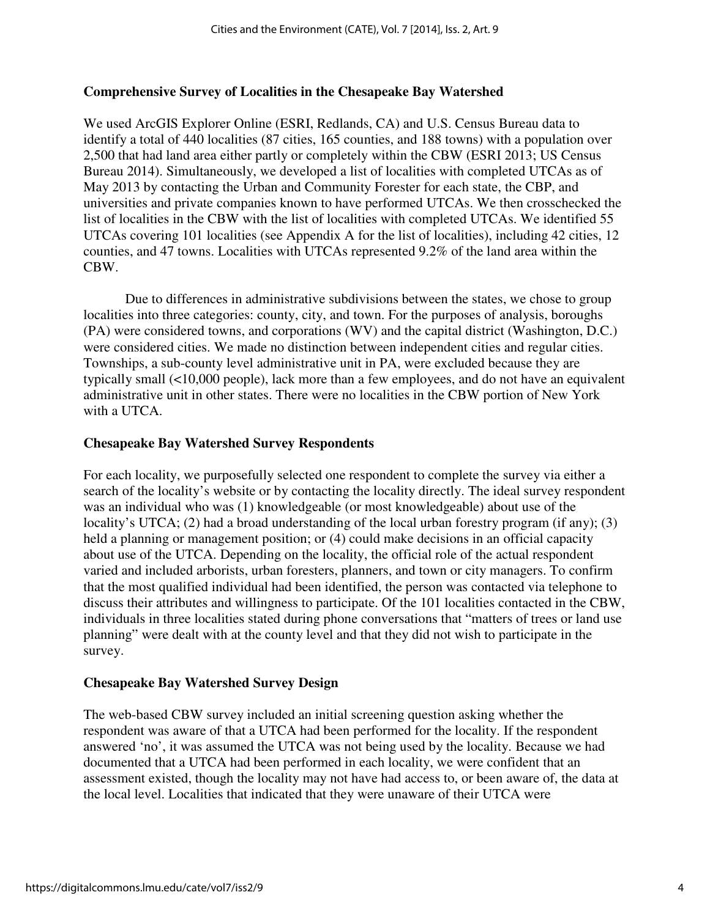#### **Comprehensive Survey of Localities in the Chesapeake Bay Watershed**

We used ArcGIS Explorer Online (ESRI, Redlands, CA) and U.S. Census Bureau data to identify a total of 440 localities (87 cities, 165 counties, and 188 towns) with a population over 2,500 that had land area either partly or completely within the CBW (ESRI 2013; US Census Bureau 2014). Simultaneously, we developed a list of localities with completed UTCAs as of May 2013 by contacting the Urban and Community Forester for each state, the CBP, and universities and private companies known to have performed UTCAs. We then crosschecked the list of localities in the CBW with the list of localities with completed UTCAs. We identified 55 UTCAs covering 101 localities (see Appendix A for the list of localities), including 42 cities, 12 counties, and 47 towns. Localities with UTCAs represented 9.2% of the land area within the CBW.

Due to differences in administrative subdivisions between the states, we chose to group localities into three categories: county, city, and town. For the purposes of analysis, boroughs (PA) were considered towns, and corporations (WV) and the capital district (Washington, D.C.) were considered cities. We made no distinction between independent cities and regular cities. Townships, a sub-county level administrative unit in PA, were excluded because they are typically small (<10,000 people), lack more than a few employees, and do not have an equivalent administrative unit in other states. There were no localities in the CBW portion of New York with a UTCA.

#### **Chesapeake Bay Watershed Survey Respondents**

For each locality, we purposefully selected one respondent to complete the survey via either a search of the locality's website or by contacting the locality directly. The ideal survey respondent was an individual who was (1) knowledgeable (or most knowledgeable) about use of the locality's UTCA; (2) had a broad understanding of the local urban forestry program (if any); (3) held a planning or management position; or (4) could make decisions in an official capacity about use of the UTCA. Depending on the locality, the official role of the actual respondent varied and included arborists, urban foresters, planners, and town or city managers. To confirm that the most qualified individual had been identified, the person was contacted via telephone to discuss their attributes and willingness to participate. Of the 101 localities contacted in the CBW, individuals in three localities stated during phone conversations that "matters of trees or land use planning" were dealt with at the county level and that they did not wish to participate in the survey.

#### **Chesapeake Bay Watershed Survey Design**

The web-based CBW survey included an initial screening question asking whether the respondent was aware of that a UTCA had been performed for the locality. If the respondent answered 'no', it was assumed the UTCA was not being used by the locality. Because we had documented that a UTCA had been performed in each locality, we were confident that an assessment existed, though the locality may not have had access to, or been aware of, the data at the local level. Localities that indicated that they were unaware of their UTCA were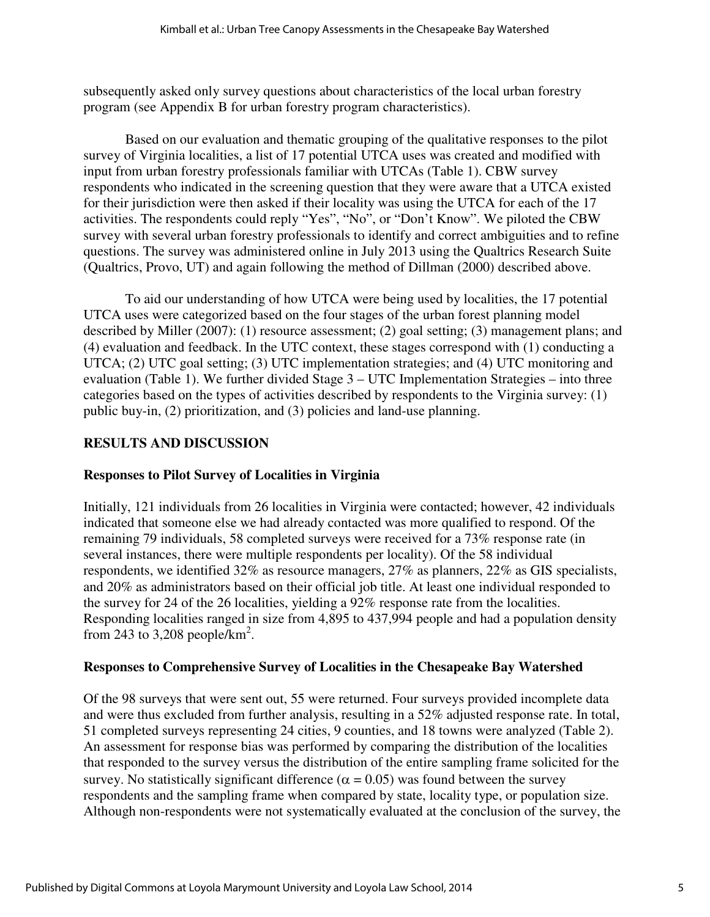subsequently asked only survey questions about characteristics of the local urban forestry program (see Appendix B for urban forestry program characteristics).

Based on our evaluation and thematic grouping of the qualitative responses to the pilot survey of Virginia localities, a list of 17 potential UTCA uses was created and modified with input from urban forestry professionals familiar with UTCAs (Table 1). CBW survey respondents who indicated in the screening question that they were aware that a UTCA existed for their jurisdiction were then asked if their locality was using the UTCA for each of the 17 activities. The respondents could reply "Yes", "No", or "Don't Know". We piloted the CBW survey with several urban forestry professionals to identify and correct ambiguities and to refine questions. The survey was administered online in July 2013 using the Qualtrics Research Suite (Qualtrics, Provo, UT) and again following the method of Dillman (2000) described above.

To aid our understanding of how UTCA were being used by localities, the 17 potential UTCA uses were categorized based on the four stages of the urban forest planning model described by Miller (2007): (1) resource assessment; (2) goal setting; (3) management plans; and (4) evaluation and feedback. In the UTC context, these stages correspond with (1) conducting a UTCA; (2) UTC goal setting; (3) UTC implementation strategies; and (4) UTC monitoring and evaluation (Table 1). We further divided Stage 3 – UTC Implementation Strategies – into three categories based on the types of activities described by respondents to the Virginia survey: (1) public buy-in, (2) prioritization, and (3) policies and land-use planning.

#### **RESULTS AND DISCUSSION**

#### **Responses to Pilot Survey of Localities in Virginia**

Initially, 121 individuals from 26 localities in Virginia were contacted; however, 42 individuals indicated that someone else we had already contacted was more qualified to respond. Of the remaining 79 individuals, 58 completed surveys were received for a 73% response rate (in several instances, there were multiple respondents per locality). Of the 58 individual respondents, we identified 32% as resource managers, 27% as planners, 22% as GIS specialists, and 20% as administrators based on their official job title. At least one individual responded to the survey for 24 of the 26 localities, yielding a 92% response rate from the localities. Responding localities ranged in size from 4,895 to 437,994 people and had a population density from 243 to 3,208 people/ $km^2$ .

#### **Responses to Comprehensive Survey of Localities in the Chesapeake Bay Watershed**

Of the 98 surveys that were sent out, 55 were returned. Four surveys provided incomplete data and were thus excluded from further analysis, resulting in a 52% adjusted response rate. In total, 51 completed surveys representing 24 cities, 9 counties, and 18 towns were analyzed (Table 2). An assessment for response bias was performed by comparing the distribution of the localities that responded to the survey versus the distribution of the entire sampling frame solicited for the survey. No statistically significant difference ( $\alpha$  = 0.05) was found between the survey respondents and the sampling frame when compared by state, locality type, or population size. Although non-respondents were not systematically evaluated at the conclusion of the survey, the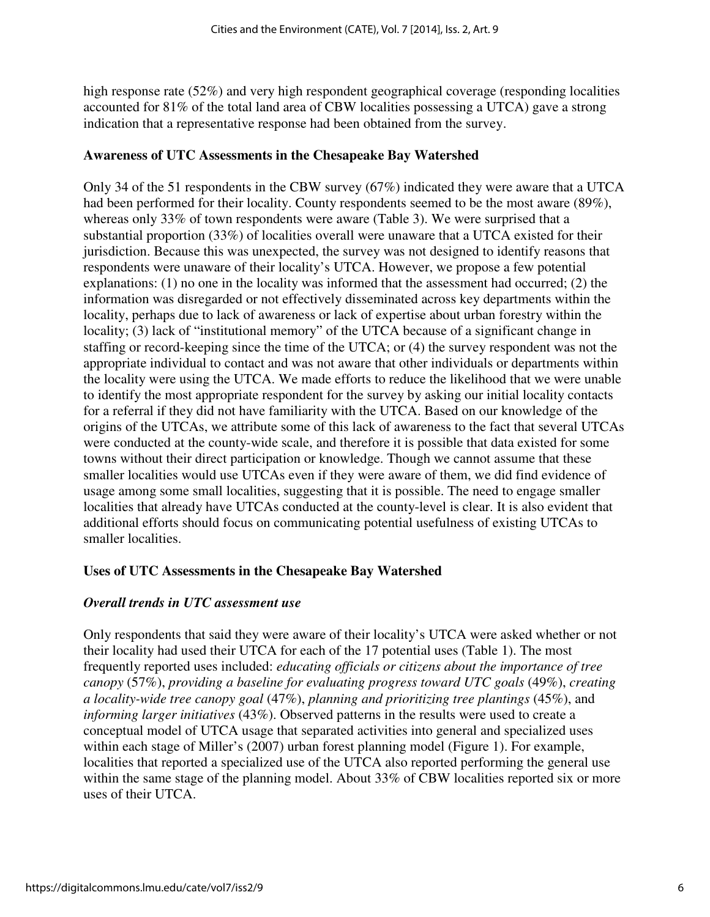high response rate (52%) and very high respondent geographical coverage (responding localities accounted for 81% of the total land area of CBW localities possessing a UTCA) gave a strong indication that a representative response had been obtained from the survey.

#### **Awareness of UTC Assessments in the Chesapeake Bay Watershed**

Only 34 of the 51 respondents in the CBW survey (67%) indicated they were aware that a UTCA had been performed for their locality. County respondents seemed to be the most aware (89%), whereas only 33% of town respondents were aware (Table 3). We were surprised that a substantial proportion (33%) of localities overall were unaware that a UTCA existed for their jurisdiction. Because this was unexpected, the survey was not designed to identify reasons that respondents were unaware of their locality's UTCA. However, we propose a few potential explanations: (1) no one in the locality was informed that the assessment had occurred; (2) the information was disregarded or not effectively disseminated across key departments within the locality, perhaps due to lack of awareness or lack of expertise about urban forestry within the locality; (3) lack of "institutional memory" of the UTCA because of a significant change in staffing or record-keeping since the time of the UTCA; or (4) the survey respondent was not the appropriate individual to contact and was not aware that other individuals or departments within the locality were using the UTCA. We made efforts to reduce the likelihood that we were unable to identify the most appropriate respondent for the survey by asking our initial locality contacts for a referral if they did not have familiarity with the UTCA. Based on our knowledge of the origins of the UTCAs, we attribute some of this lack of awareness to the fact that several UTCAs were conducted at the county-wide scale, and therefore it is possible that data existed for some towns without their direct participation or knowledge. Though we cannot assume that these smaller localities would use UTCAs even if they were aware of them, we did find evidence of usage among some small localities, suggesting that it is possible. The need to engage smaller localities that already have UTCAs conducted at the county-level is clear. It is also evident that additional efforts should focus on communicating potential usefulness of existing UTCAs to smaller localities.

#### **Uses of UTC Assessments in the Chesapeake Bay Watershed**

#### *Overall trends in UTC assessment use*

Only respondents that said they were aware of their locality's UTCA were asked whether or not their locality had used their UTCA for each of the 17 potential uses (Table 1). The most frequently reported uses included: *educating officials or citizens about the importance of tree canopy* (57%), *providing a baseline for evaluating progress toward UTC goals* (49%), *creating a locality-wide tree canopy goal* (47%), *planning and prioritizing tree plantings* (45%), and *informing larger initiatives* (43%). Observed patterns in the results were used to create a conceptual model of UTCA usage that separated activities into general and specialized uses within each stage of Miller's (2007) urban forest planning model (Figure 1). For example, localities that reported a specialized use of the UTCA also reported performing the general use within the same stage of the planning model. About 33% of CBW localities reported six or more uses of their UTCA.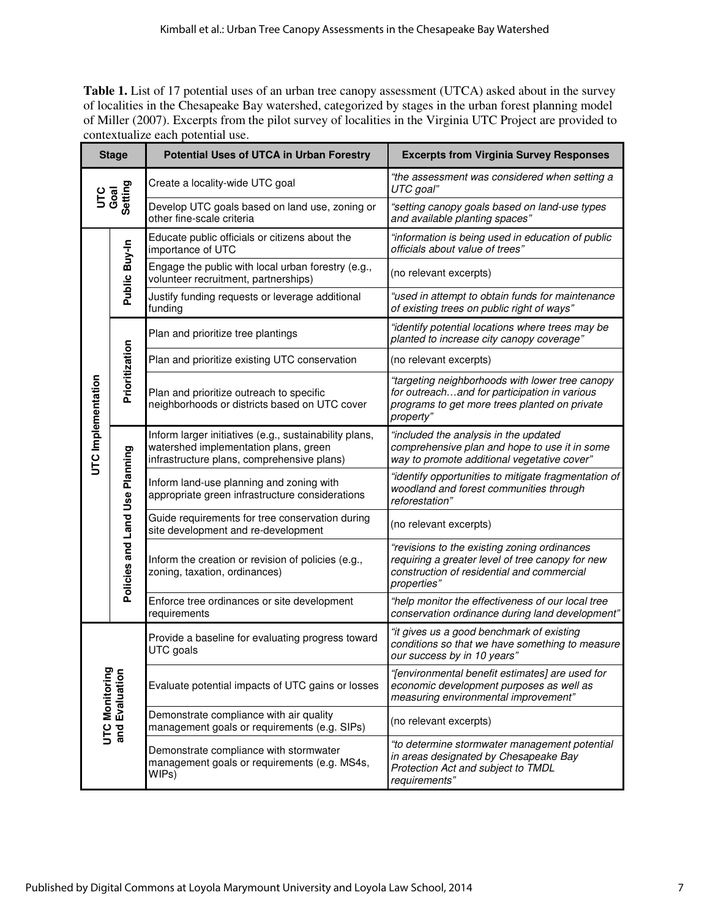Table 1. List of 17 potential uses of an urban tree canopy assessment (UTCA) asked about in the survey of localities in the Chesapeake Bay watershed, categorized by stages in the urban forest planning model of Miller (2007). Excerpts from the pilot survey of localities in the Virginia UTC Project are provided to contextualize each potential use.

| <b>Stage</b>                     |                                                                                                 | <b>Potential Uses of UTCA in Urban Forestry</b>                                                                                               | <b>Excerpts from Virginia Survey Responses</b>                                                                                                                |
|----------------------------------|-------------------------------------------------------------------------------------------------|-----------------------------------------------------------------------------------------------------------------------------------------------|---------------------------------------------------------------------------------------------------------------------------------------------------------------|
| Goal<br>Setting<br><b>UTC</b>    |                                                                                                 | Create a locality-wide UTC goal                                                                                                               | "the assessment was considered when setting a<br>UTC goal"                                                                                                    |
|                                  |                                                                                                 | Develop UTC goals based on land use, zoning or<br>other fine-scale criteria                                                                   | "setting canopy goals based on land-use types<br>and available planting spaces"                                                                               |
|                                  |                                                                                                 | Educate public officials or citizens about the<br>importance of UTC                                                                           | "information is being used in education of public<br>officials about value of trees"                                                                          |
|                                  | Public Buy-In                                                                                   | Engage the public with local urban forestry (e.g.,<br>volunteer recruitment, partnerships)                                                    | (no relevant excerpts)                                                                                                                                        |
|                                  |                                                                                                 | Justify funding requests or leverage additional<br>funding                                                                                    | "used in attempt to obtain funds for maintenance<br>of existing trees on public right of ways"                                                                |
|                                  |                                                                                                 | Plan and prioritize tree plantings                                                                                                            | "identify potential locations where trees may be<br>planted to increase city canopy coverage"                                                                 |
|                                  |                                                                                                 | Plan and prioritize existing UTC conservation                                                                                                 | (no relevant excerpts)                                                                                                                                        |
| UTC Implementation               | Prioritization                                                                                  | Plan and prioritize outreach to specific<br>neighborhoods or districts based on UTC cover                                                     | "targeting neighborhoods with lower tree canopy<br>for outreachand for participation in various<br>programs to get more trees planted on private<br>property" |
|                                  | Policies and Land Use Planning                                                                  | Inform larger initiatives (e.g., sustainability plans,<br>watershed implementation plans, green<br>infrastructure plans, comprehensive plans) | "included the analysis in the updated<br>comprehensive plan and hope to use it in some<br>way to promote additional vegetative cover"                         |
|                                  |                                                                                                 | Inform land-use planning and zoning with<br>appropriate green infrastructure considerations                                                   | "identify opportunities to mitigate fragmentation of<br>woodland and forest communities through<br>reforestation"                                             |
|                                  |                                                                                                 | Guide requirements for tree conservation during<br>site development and re-development                                                        | (no relevant excerpts)                                                                                                                                        |
|                                  |                                                                                                 | Inform the creation or revision of policies (e.g.,<br>zoning, taxation, ordinances)                                                           | "revisions to the existing zoning ordinances<br>requiring a greater level of tree canopy for new<br>construction of residential and commercial<br>properties" |
|                                  |                                                                                                 | Enforce tree ordinances or site development<br>requirements                                                                                   | "help monitor the effectiveness of our local tree<br>conservation ordinance during land development"                                                          |
| UTC Monitoring<br>and Evaluation |                                                                                                 | Provide a baseline for evaluating progress toward<br>UTC goals                                                                                | "it gives us a good benchmark of existing<br>conditions so that we have something to measure<br>our success by in 10 years"                                   |
|                                  |                                                                                                 | Evaluate potential impacts of UTC gains or losses                                                                                             | "[environmental benefit estimates] are used for<br>economic development purposes as well as<br>measuring environmental improvement"                           |
|                                  |                                                                                                 | Demonstrate compliance with air quality<br>management goals or requirements (e.g. SIPs)                                                       | (no relevant excerpts)                                                                                                                                        |
|                                  | Demonstrate compliance with stormwater<br>management goals or requirements (e.g. MS4s,<br>WIPs) |                                                                                                                                               | "to determine stormwater management potential<br>in areas designated by Chesapeake Bay<br>Protection Act and subject to TMDL<br>requirements"                 |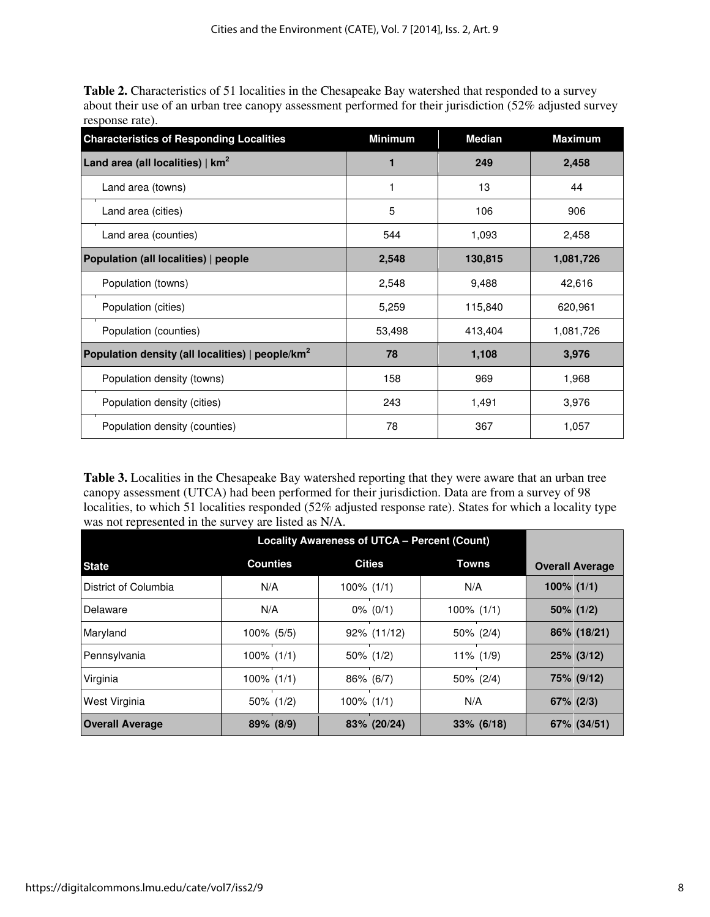**Table 2.** Characteristics of 51 localities in the Chesapeake Bay watershed that responded to a survey about their use of an urban tree canopy assessment performed for their jurisdiction (52% adjusted survey response rate).

| <b>Characteristics of Responding Localities</b>                | <b>Minimum</b> | <b>Median</b> | <b>Maximum</b> |
|----------------------------------------------------------------|----------------|---------------|----------------|
| Land area (all localities) $\mid$ km <sup>2</sup>              |                | 249           | 2,458          |
| Land area (towns)                                              |                | 13            | 44             |
| Land area (cities)                                             | 5              | 106           | 906            |
| Land area (counties)                                           | 544            | 1,093         | 2,458          |
| Population (all localities)   people                           | 2,548          | 130,815       | 1,081,726      |
| Population (towns)                                             | 2,548          | 9,488         | 42,616         |
| Population (cities)                                            | 5,259          | 115,840       | 620,961        |
| Population (counties)                                          | 53,498         | 413,404       | 1,081,726      |
| Population density (all localities) $ $ people/km <sup>2</sup> | 78             | 1,108         | 3,976          |
| Population density (towns)                                     | 158            | 969           | 1,968          |
| Population density (cities)                                    | 243            | 1,491         | 3,976          |
| Population density (counties)                                  | 78             | 367           | 1,057          |

**Table 3.** Localities in the Chesapeake Bay watershed reporting that they were aware that an urban tree canopy assessment (UTCA) had been performed for their jurisdiction. Data are from a survey of 98 localities, to which 51 localities responded (52% adjusted response rate). States for which a locality type was not represented in the survey are listed as N/A.

|                        | <b>Locality Awareness of UTCA - Percent (Count)</b> |               |               |                        |  |
|------------------------|-----------------------------------------------------|---------------|---------------|------------------------|--|
| <b>State</b>           | <b>Counties</b>                                     | <b>Cities</b> | Towns         | <b>Overall Average</b> |  |
| District of Columbia   | N/A                                                 | $100\%$ (1/1) | N/A           | $100\%$ (1/1)          |  |
| Delaware               | N/A                                                 | $0\%$ (0/1)   | $100\%$ (1/1) | $50\%$ (1/2)           |  |
| Maryland               | $100\%$ (5/5)                                       | 92% (11/12)   | 50% (2/4)     | 86% (18/21)            |  |
| Pennsylvania           | $100\%$ $(1/1)$                                     | $50\%$ (1/2)  | $11\%$ (1/9)  | $25\%$ (3/12)          |  |
| Virginia               | $100\%$ (1/1)                                       | 86% (6/7)     | 50% (2/4)     | 75% (9/12)             |  |
| West Virginia          | 50% (1/2)                                           | $100\%$ (1/1) | N/A           | $67\%$ (2/3)           |  |
| <b>Overall Average</b> | 89% (8/9)                                           | 83% (20/24)   | $33\%$ (6/18) | 67% (34/51)            |  |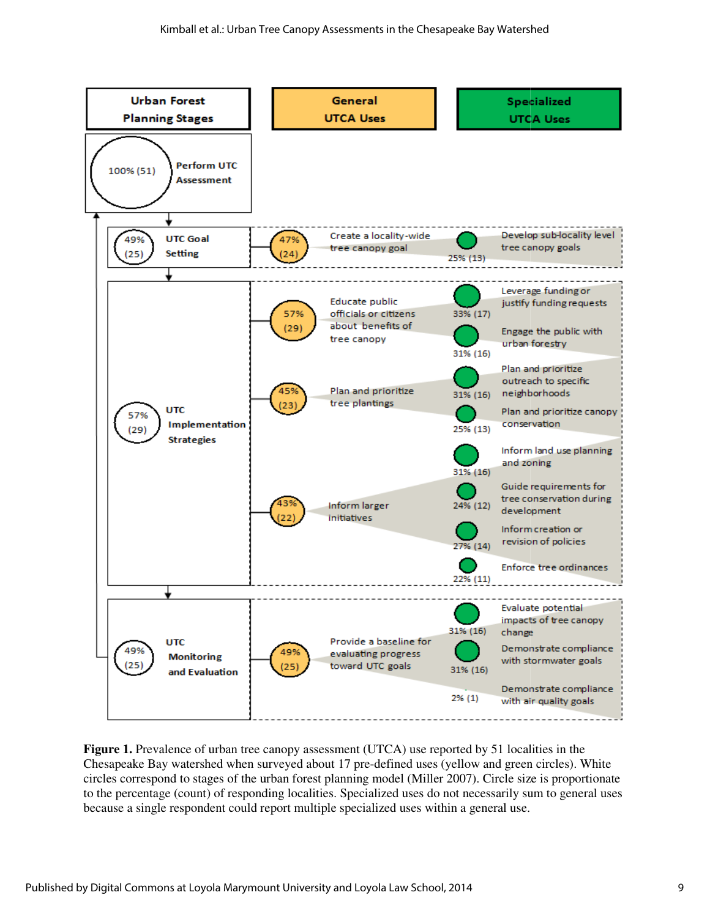

Figure 1. Prevalence of urban tree canopy assessment (UTCA) use reported by 51 localities in the Chesapeake Bay watershed when surveyed about 17 pre-defined uses (yellow and green circles). circles correspond to stages of the urban forest planning model (Miller 2007). Circle size is proportionate to the percentage (count) of responding localities. Specialized uses do not necessarily sum to general uses because a single respondent could report multiple specialized uses within a general use. Prevalence of urban tree canopy assessment (UTCA) use reported by 51 localities in the<br>te Bay watershed when surveyed about 17 pre-defined uses (yellow and green circles). W<br>respond to stages of the urban forest planning m defined uses (yellow and green circles). White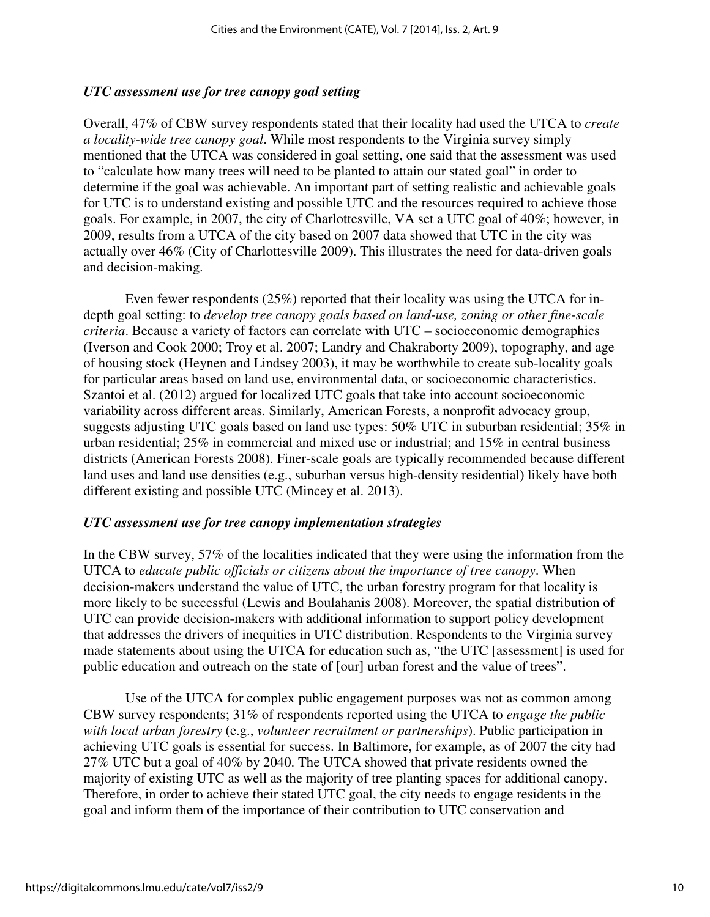#### *UTC assessment use for tree canopy goal setting*

Overall, 47% of CBW survey respondents stated that their locality had used the UTCA to *create a locality-wide tree canopy goal*. While most respondents to the Virginia survey simply mentioned that the UTCA was considered in goal setting, one said that the assessment was used to "calculate how many trees will need to be planted to attain our stated goal" in order to determine if the goal was achievable. An important part of setting realistic and achievable goals for UTC is to understand existing and possible UTC and the resources required to achieve those goals. For example, in 2007, the city of Charlottesville, VA set a UTC goal of 40%; however, in 2009, results from a UTCA of the city based on 2007 data showed that UTC in the city was actually over 46% (City of Charlottesville 2009). This illustrates the need for data-driven goals and decision-making.

Even fewer respondents (25%) reported that their locality was using the UTCA for indepth goal setting: to *develop tree canopy goals based on land-use, zoning or other fine-scale criteria*. Because a variety of factors can correlate with UTC – socioeconomic demographics (Iverson and Cook 2000; Troy et al. 2007; Landry and Chakraborty 2009), topography, and age of housing stock (Heynen and Lindsey 2003), it may be worthwhile to create sub-locality goals for particular areas based on land use, environmental data, or socioeconomic characteristics. Szantoi et al. (2012) argued for localized UTC goals that take into account socioeconomic variability across different areas. Similarly, American Forests, a nonprofit advocacy group, suggests adjusting UTC goals based on land use types: 50% UTC in suburban residential; 35% in urban residential; 25% in commercial and mixed use or industrial; and 15% in central business districts (American Forests 2008). Finer-scale goals are typically recommended because different land uses and land use densities (e.g., suburban versus high-density residential) likely have both different existing and possible UTC (Mincey et al. 2013).

#### *UTC assessment use for tree canopy implementation strategies*

In the CBW survey, 57% of the localities indicated that they were using the information from the UTCA to *educate public officials or citizens about the importance of tree canopy*. When decision-makers understand the value of UTC, the urban forestry program for that locality is more likely to be successful (Lewis and Boulahanis 2008). Moreover, the spatial distribution of UTC can provide decision-makers with additional information to support policy development that addresses the drivers of inequities in UTC distribution. Respondents to the Virginia survey made statements about using the UTCA for education such as, "the UTC [assessment] is used for public education and outreach on the state of [our] urban forest and the value of trees".

Use of the UTCA for complex public engagement purposes was not as common among CBW survey respondents; 31% of respondents reported using the UTCA to *engage the public with local urban forestry* (e.g., *volunteer recruitment or partnerships*). Public participation in achieving UTC goals is essential for success. In Baltimore, for example, as of 2007 the city had 27% UTC but a goal of 40% by 2040. The UTCA showed that private residents owned the majority of existing UTC as well as the majority of tree planting spaces for additional canopy. Therefore, in order to achieve their stated UTC goal, the city needs to engage residents in the goal and inform them of the importance of their contribution to UTC conservation and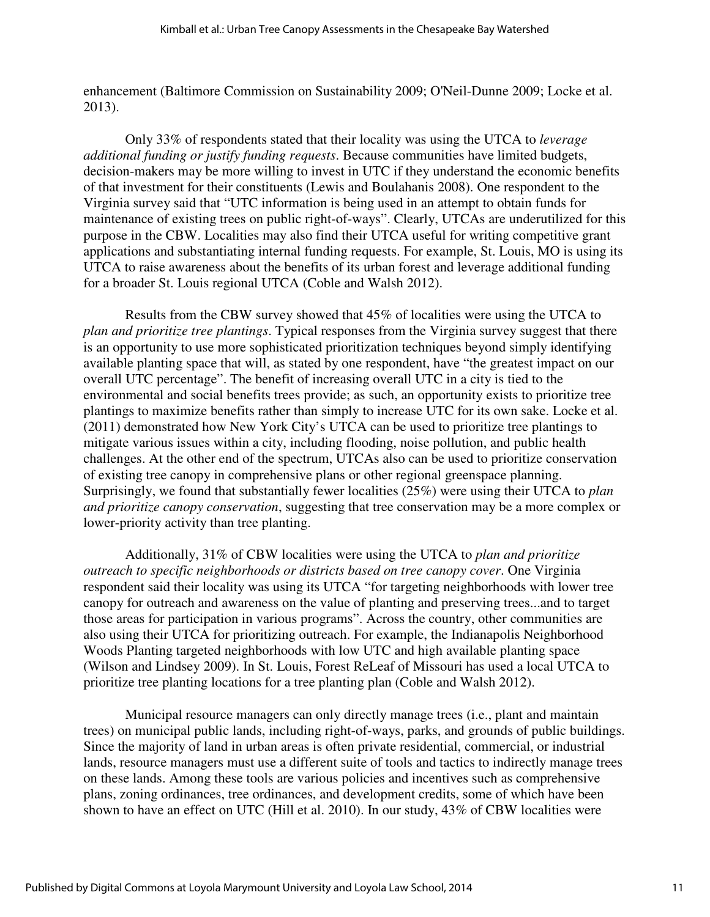enhancement (Baltimore Commission on Sustainability 2009; O'Neil-Dunne 2009; Locke et al. 2013).

Only 33% of respondents stated that their locality was using the UTCA to *leverage additional funding or justify funding requests*. Because communities have limited budgets, decision-makers may be more willing to invest in UTC if they understand the economic benefits of that investment for their constituents (Lewis and Boulahanis 2008). One respondent to the Virginia survey said that "UTC information is being used in an attempt to obtain funds for maintenance of existing trees on public right-of-ways". Clearly, UTCAs are underutilized for this purpose in the CBW. Localities may also find their UTCA useful for writing competitive grant applications and substantiating internal funding requests. For example, St. Louis, MO is using its UTCA to raise awareness about the benefits of its urban forest and leverage additional funding for a broader St. Louis regional UTCA (Coble and Walsh 2012).

Results from the CBW survey showed that 45% of localities were using the UTCA to *plan and prioritize tree plantings*. Typical responses from the Virginia survey suggest that there is an opportunity to use more sophisticated prioritization techniques beyond simply identifying available planting space that will, as stated by one respondent, have "the greatest impact on our overall UTC percentage". The benefit of increasing overall UTC in a city is tied to the environmental and social benefits trees provide; as such, an opportunity exists to prioritize tree plantings to maximize benefits rather than simply to increase UTC for its own sake. Locke et al. (2011) demonstrated how New York City's UTCA can be used to prioritize tree plantings to mitigate various issues within a city, including flooding, noise pollution, and public health challenges. At the other end of the spectrum, UTCAs also can be used to prioritize conservation of existing tree canopy in comprehensive plans or other regional greenspace planning. Surprisingly, we found that substantially fewer localities (25%) were using their UTCA to *plan and prioritize canopy conservation*, suggesting that tree conservation may be a more complex or lower-priority activity than tree planting.

Additionally, 31% of CBW localities were using the UTCA to *plan and prioritize outreach to specific neighborhoods or districts based on tree canopy cover*. One Virginia respondent said their locality was using its UTCA "for targeting neighborhoods with lower tree canopy for outreach and awareness on the value of planting and preserving trees...and to target those areas for participation in various programs". Across the country, other communities are also using their UTCA for prioritizing outreach. For example, the Indianapolis Neighborhood Woods Planting targeted neighborhoods with low UTC and high available planting space (Wilson and Lindsey 2009). In St. Louis, Forest ReLeaf of Missouri has used a local UTCA to prioritize tree planting locations for a tree planting plan (Coble and Walsh 2012).

Municipal resource managers can only directly manage trees (i.e., plant and maintain trees) on municipal public lands, including right-of-ways, parks, and grounds of public buildings. Since the majority of land in urban areas is often private residential, commercial, or industrial lands, resource managers must use a different suite of tools and tactics to indirectly manage trees on these lands. Among these tools are various policies and incentives such as comprehensive plans, zoning ordinances, tree ordinances, and development credits, some of which have been shown to have an effect on UTC (Hill et al. 2010). In our study, 43% of CBW localities were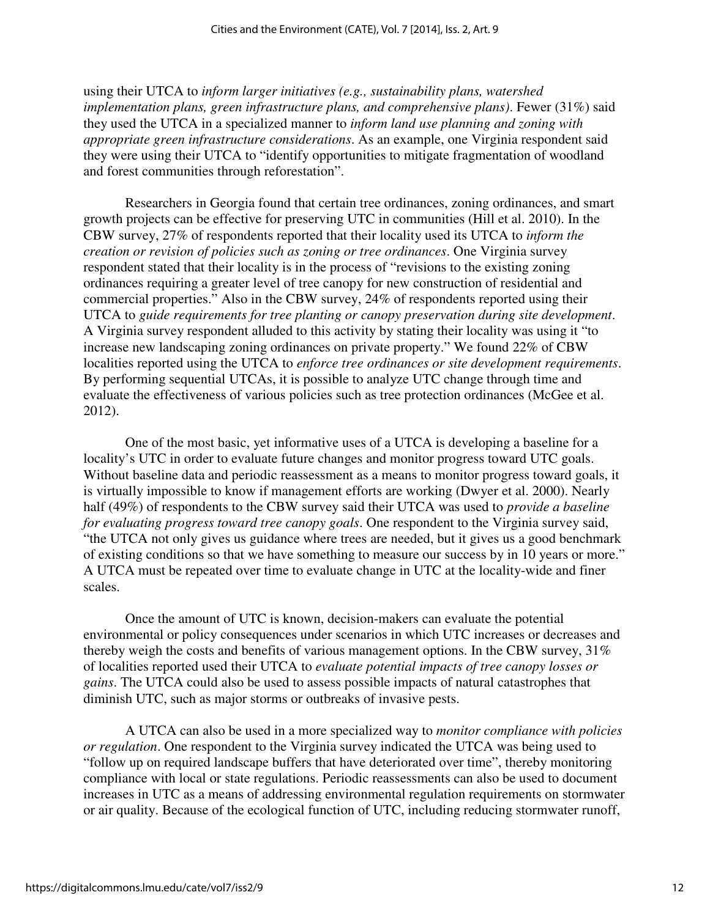using their UTCA to *inform larger initiatives (e.g., sustainability plans, watershed implementation plans, green infrastructure plans, and comprehensive plans)*. Fewer (31%) said they used the UTCA in a specialized manner to *inform land use planning and zoning with appropriate green infrastructure considerations*. As an example, one Virginia respondent said they were using their UTCA to "identify opportunities to mitigate fragmentation of woodland and forest communities through reforestation".

Researchers in Georgia found that certain tree ordinances, zoning ordinances, and smart growth projects can be effective for preserving UTC in communities (Hill et al. 2010). In the CBW survey, 27% of respondents reported that their locality used its UTCA to *inform the creation or revision of policies such as zoning or tree ordinances*. One Virginia survey respondent stated that their locality is in the process of "revisions to the existing zoning ordinances requiring a greater level of tree canopy for new construction of residential and commercial properties." Also in the CBW survey, 24% of respondents reported using their UTCA to *guide requirements for tree planting or canopy preservation during site development*. A Virginia survey respondent alluded to this activity by stating their locality was using it "to increase new landscaping zoning ordinances on private property." We found 22% of CBW localities reported using the UTCA to *enforce tree ordinances or site development requirements*. By performing sequential UTCAs, it is possible to analyze UTC change through time and evaluate the effectiveness of various policies such as tree protection ordinances (McGee et al. 2012).

One of the most basic, yet informative uses of a UTCA is developing a baseline for a locality's UTC in order to evaluate future changes and monitor progress toward UTC goals. Without baseline data and periodic reassessment as a means to monitor progress toward goals, it is virtually impossible to know if management efforts are working (Dwyer et al. 2000). Nearly half (49%) of respondents to the CBW survey said their UTCA was used to *provide a baseline for evaluating progress toward tree canopy goals*. One respondent to the Virginia survey said, "the UTCA not only gives us guidance where trees are needed, but it gives us a good benchmark of existing conditions so that we have something to measure our success by in 10 years or more." A UTCA must be repeated over time to evaluate change in UTC at the locality-wide and finer scales.

Once the amount of UTC is known, decision-makers can evaluate the potential environmental or policy consequences under scenarios in which UTC increases or decreases and thereby weigh the costs and benefits of various management options. In the CBW survey, 31% of localities reported used their UTCA to *evaluate potential impacts of tree canopy losses or gains*. The UTCA could also be used to assess possible impacts of natural catastrophes that diminish UTC, such as major storms or outbreaks of invasive pests.

A UTCA can also be used in a more specialized way to *monitor compliance with policies or regulation*. One respondent to the Virginia survey indicated the UTCA was being used to "follow up on required landscape buffers that have deteriorated over time", thereby monitoring compliance with local or state regulations. Periodic reassessments can also be used to document increases in UTC as a means of addressing environmental regulation requirements on stormwater or air quality. Because of the ecological function of UTC, including reducing stormwater runoff,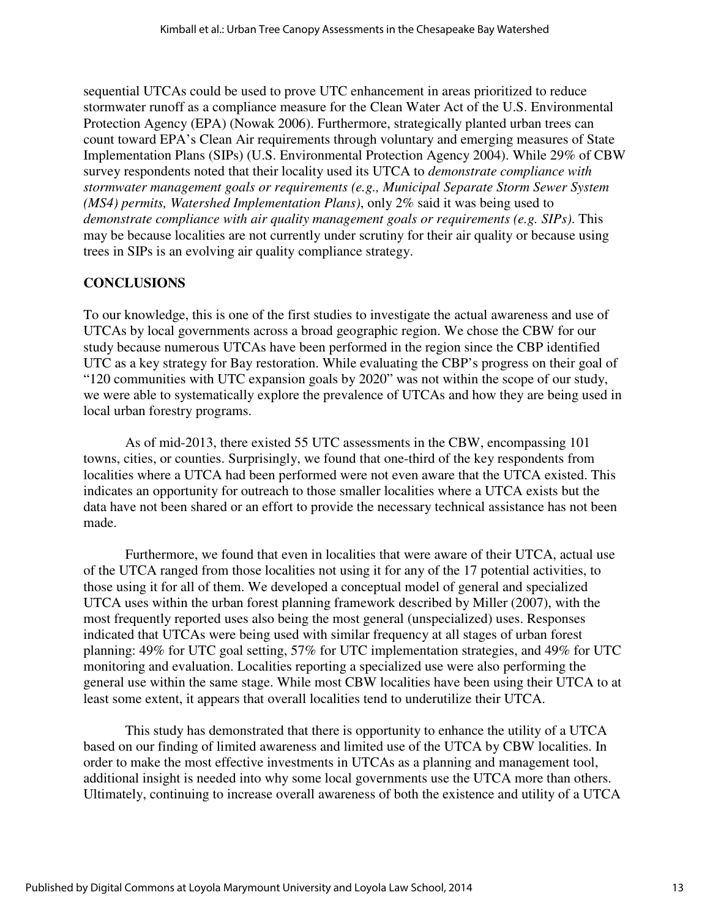sequential UTCAs could be used to prove UTC enhancement in areas prioritized to reduce stormwater runoff as a compliance measure for the Clean Water Act of the U.S. Environmental Protection Agency (EPA) (Nowak 2006). Furthermore, strategically planted urban trees can count toward EPA's Clean Air requirements through voluntary and emerging measures of State Implementation Plans (SIPs) (U.S. Environmental Protection Agency 2004). While 29% of CBW survey respondents noted that their locality used its UTCA to *demonstrate compliance with stormwater management goals or requirements (e.g., Municipal Separate Storm Sewer System (MS4) permits, Watershed Implementation Plans)*, only 2% said it was being used to *demonstrate compliance with air quality management goals or requirements (e.g. SIPs)*. This may be because localities are not currently under scrutiny for their air quality or because using trees in SIPs is an evolving air quality compliance strategy.

### **CONCLUSIONS**

To our knowledge, this is one of the first studies to investigate the actual awareness and use of UTCAs by local governments across a broad geographic region. We chose the CBW for our study because numerous UTCAs have been performed in the region since the CBP identified UTC as a key strategy for Bay restoration. While evaluating the CBP's progress on their goal of "120 communities with UTC expansion goals by 2020" was not within the scope of our study, we were able to systematically explore the prevalence of UTCAs and how they are being used in local urban forestry programs.

As of mid-2013, there existed 55 UTC assessments in the CBW, encompassing 101 towns, cities, or counties. Surprisingly, we found that one-third of the key respondents from localities where a UTCA had been performed were not even aware that the UTCA existed. This indicates an opportunity for outreach to those smaller localities where a UTCA exists but the data have not been shared or an effort to provide the necessary technical assistance has not been made.

Furthermore, we found that even in localities that were aware of their UTCA, actual use of the UTCA ranged from those localities not using it for any of the 17 potential activities, to those using it for all of them. We developed a conceptual model of general and specialized UTCA uses within the urban forest planning framework described by Miller (2007), with the most frequently reported uses also being the most general (unspecialized) uses. Responses indicated that UTCAs were being used with similar frequency at all stages of urban forest planning: 49% for UTC goal setting, 57% for UTC implementation strategies, and 49% for UTC monitoring and evaluation. Localities reporting a specialized use were also performing the general use within the same stage. While most CBW localities have been using their UTCA to at least some extent, it appears that overall localities tend to underutilize their UTCA.

This study has demonstrated that there is opportunity to enhance the utility of a UTCA based on our finding of limited awareness and limited use of the UTCA by CBW localities. In order to make the most effective investments in UTCAs as a planning and management tool, additional insight is needed into why some local governments use the UTCA more than others. Ultimately, continuing to increase overall awareness of both the existence and utility of a UTCA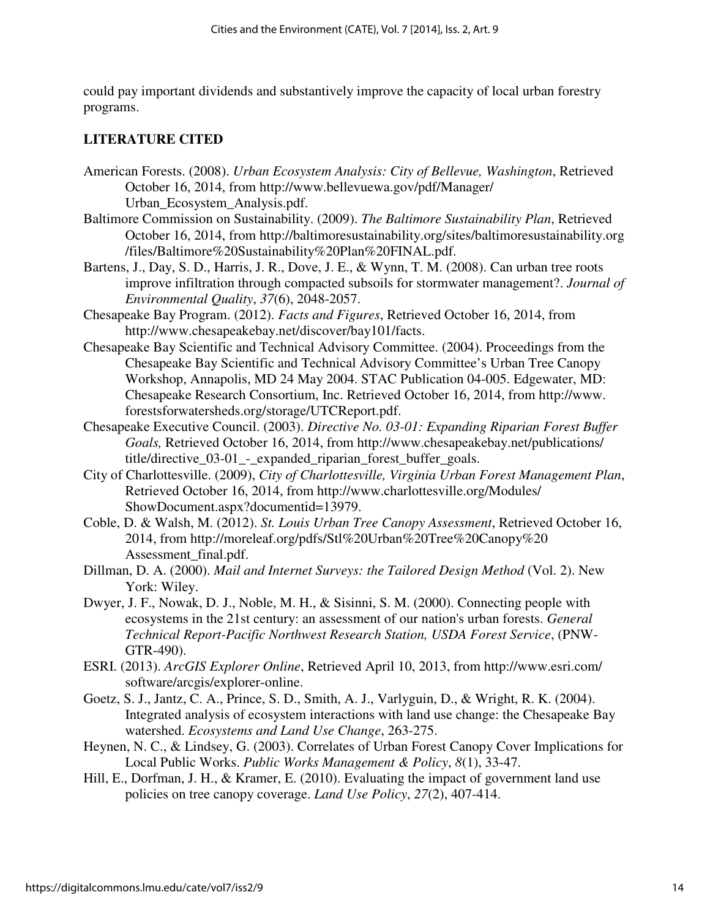could pay important dividends and substantively improve the capacity of local urban forestry programs.

#### **LITERATURE CITED**

- American Forests. (2008). *Urban Ecosystem Analysis: City of Bellevue, Washington*, Retrieved October 16, 2014, from http://www.bellevuewa.gov/pdf/Manager/ Urban\_Ecosystem\_Analysis.pdf.
- Baltimore Commission on Sustainability. (2009). *The Baltimore Sustainability Plan*, Retrieved October 16, 2014, from http://baltimoresustainability.org/sites/baltimoresustainability.org /files/Baltimore%20Sustainability%20Plan%20FINAL.pdf.
- Bartens, J., Day, S. D., Harris, J. R., Dove, J. E., & Wynn, T. M. (2008). Can urban tree roots improve infiltration through compacted subsoils for stormwater management?. *Journal of Environmental Quality*, *37*(6), 2048-2057.
- Chesapeake Bay Program. (2012). *Facts and Figures*, Retrieved October 16, 2014, from http://www.chesapeakebay.net/discover/bay101/facts.
- Chesapeake Bay Scientific and Technical Advisory Committee. (2004). Proceedings from the Chesapeake Bay Scientific and Technical Advisory Committee's Urban Tree Canopy Workshop, Annapolis, MD 24 May 2004. STAC Publication 04-005. Edgewater, MD: Chesapeake Research Consortium, Inc. Retrieved October 16, 2014, from http://www. forestsforwatersheds.org/storage/UTCReport.pdf.
- Chesapeake Executive Council. (2003). *Directive No. 03-01: Expanding Riparian Forest Buffer Goals,* Retrieved October 16, 2014, from http://www.chesapeakebay.net/publications/ title/directive\_03-01\_-\_expanded\_riparian\_forest\_buffer\_goals.
- City of Charlottesville. (2009), *City of Charlottesville, Virginia Urban Forest Management Plan*, Retrieved October 16, 2014, from http://www.charlottesville.org/Modules/ ShowDocument.aspx?documentid=13979.
- Coble, D. & Walsh, M. (2012). *St. Louis Urban Tree Canopy Assessment*, Retrieved October 16, 2014, from http://moreleaf.org/pdfs/Stl%20Urban%20Tree%20Canopy%20 Assessment\_final.pdf.
- Dillman, D. A. (2000). *Mail and Internet Surveys: the Tailored Design Method* (Vol. 2). New York: Wiley.
- Dwyer, J. F., Nowak, D. J., Noble, M. H., & Sisinni, S. M. (2000). Connecting people with ecosystems in the 21st century: an assessment of our nation's urban forests. *General Technical Report-Pacific Northwest Research Station, USDA Forest Service*, (PNW-GTR-490).
- ESRI. (2013). *ArcGIS Explorer Online*, Retrieved April 10, 2013, from http://www.esri.com/ software/arcgis/explorer-online.
- Goetz, S. J., Jantz, C. A., Prince, S. D., Smith, A. J., Varlyguin, D., & Wright, R. K. (2004). Integrated analysis of ecosystem interactions with land use change: the Chesapeake Bay watershed. *Ecosystems and Land Use Change*, 263-275.
- Heynen, N. C., & Lindsey, G. (2003). Correlates of Urban Forest Canopy Cover Implications for Local Public Works. *Public Works Management & Policy*, *8*(1), 33-47.
- Hill, E., Dorfman, J. H., & Kramer, E. (2010). Evaluating the impact of government land use policies on tree canopy coverage. *Land Use Policy*, *27*(2), 407-414.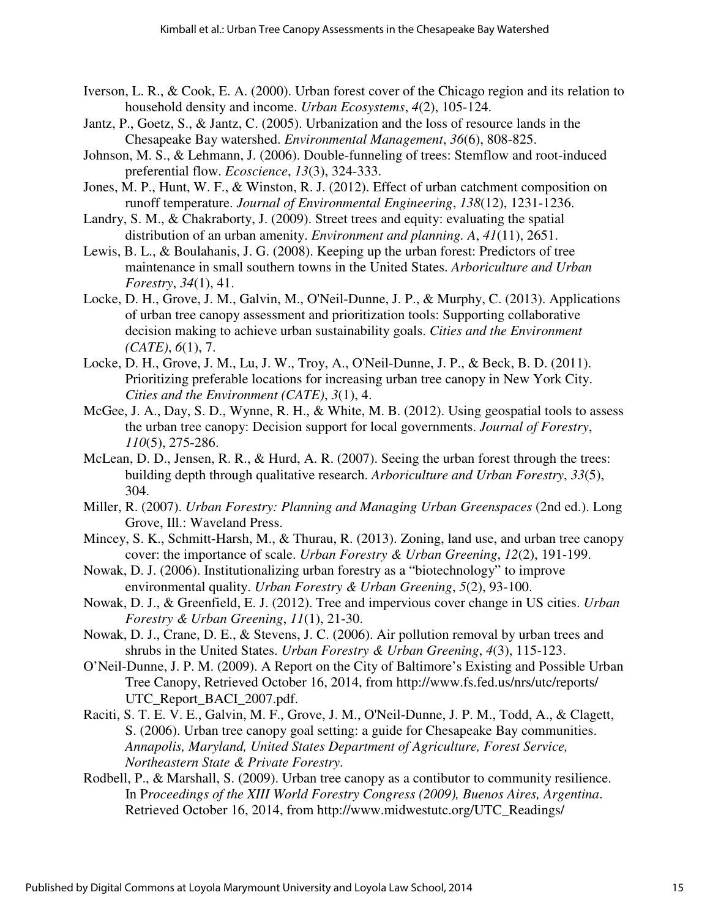- Iverson, L. R., & Cook, E. A. (2000). Urban forest cover of the Chicago region and its relation to household density and income. *Urban Ecosystems*, *4*(2), 105-124.
- Jantz, P., Goetz, S., & Jantz, C. (2005). Urbanization and the loss of resource lands in the Chesapeake Bay watershed. *Environmental Management*, *36*(6), 808-825.
- Johnson, M. S., & Lehmann, J. (2006). Double-funneling of trees: Stemflow and root-induced preferential flow. *Ecoscience*, *13*(3), 324-333.
- Jones, M. P., Hunt, W. F., & Winston, R. J. (2012). Effect of urban catchment composition on runoff temperature. *Journal of Environmental Engineering*, *138*(12), 1231-1236.
- Landry, S. M., & Chakraborty, J. (2009). Street trees and equity: evaluating the spatial distribution of an urban amenity. *Environment and planning. A*, *41*(11), 2651.
- Lewis, B. L., & Boulahanis, J. G. (2008). Keeping up the urban forest: Predictors of tree maintenance in small southern towns in the United States. *Arboriculture and Urban Forestry*, *34*(1), 41.
- Locke, D. H., Grove, J. M., Galvin, M., O'Neil-Dunne, J. P., & Murphy, C. (2013). Applications of urban tree canopy assessment and prioritization tools: Supporting collaborative decision making to achieve urban sustainability goals. *Cities and the Environment (CATE)*, *6*(1), 7.
- Locke, D. H., Grove, J. M., Lu, J. W., Troy, A., O'Neil-Dunne, J. P., & Beck, B. D. (2011). Prioritizing preferable locations for increasing urban tree canopy in New York City. *Cities and the Environment (CATE)*, *3*(1), 4.
- McGee, J. A., Day, S. D., Wynne, R. H., & White, M. B. (2012). Using geospatial tools to assess the urban tree canopy: Decision support for local governments. *Journal of Forestry*, *110*(5), 275-286.
- McLean, D. D., Jensen, R. R., & Hurd, A. R. (2007). Seeing the urban forest through the trees: building depth through qualitative research. *Arboriculture and Urban Forestry*, *33*(5), 304.
- Miller, R. (2007). *Urban Forestry: Planning and Managing Urban Greenspaces* (2nd ed.). Long Grove, Ill.: Waveland Press.
- Mincey, S. K., Schmitt-Harsh, M., & Thurau, R. (2013). Zoning, land use, and urban tree canopy cover: the importance of scale. *Urban Forestry & Urban Greening*, *12*(2), 191-199.
- Nowak, D. J. (2006). Institutionalizing urban forestry as a "biotechnology" to improve environmental quality. *Urban Forestry & Urban Greening*, *5*(2), 93-100.
- Nowak, D. J., & Greenfield, E. J. (2012). Tree and impervious cover change in US cities. *Urban Forestry & Urban Greening*, *11*(1), 21-30.
- Nowak, D. J., Crane, D. E., & Stevens, J. C. (2006). Air pollution removal by urban trees and shrubs in the United States. *Urban Forestry & Urban Greening*, *4*(3), 115-123.
- O'Neil-Dunne, J. P. M. (2009). A Report on the City of Baltimore's Existing and Possible Urban Tree Canopy, Retrieved October 16, 2014, from http://www.fs.fed.us/nrs/utc/reports/ UTC\_Report\_BACI\_2007.pdf.
- Raciti, S. T. E. V. E., Galvin, M. F., Grove, J. M., O'Neil-Dunne, J. P. M., Todd, A., & Clagett, S. (2006). Urban tree canopy goal setting: a guide for Chesapeake Bay communities. *Annapolis, Maryland, United States Department of Agriculture, Forest Service, Northeastern State & Private Forestry*.
- Rodbell, P., & Marshall, S. (2009). Urban tree canopy as a contibutor to community resilience. In P*roceedings of the XIII World Forestry Congress (2009), Buenos Aires, Argentina*. Retrieved October 16, 2014, from http://www.midwestutc.org/UTC\_Readings/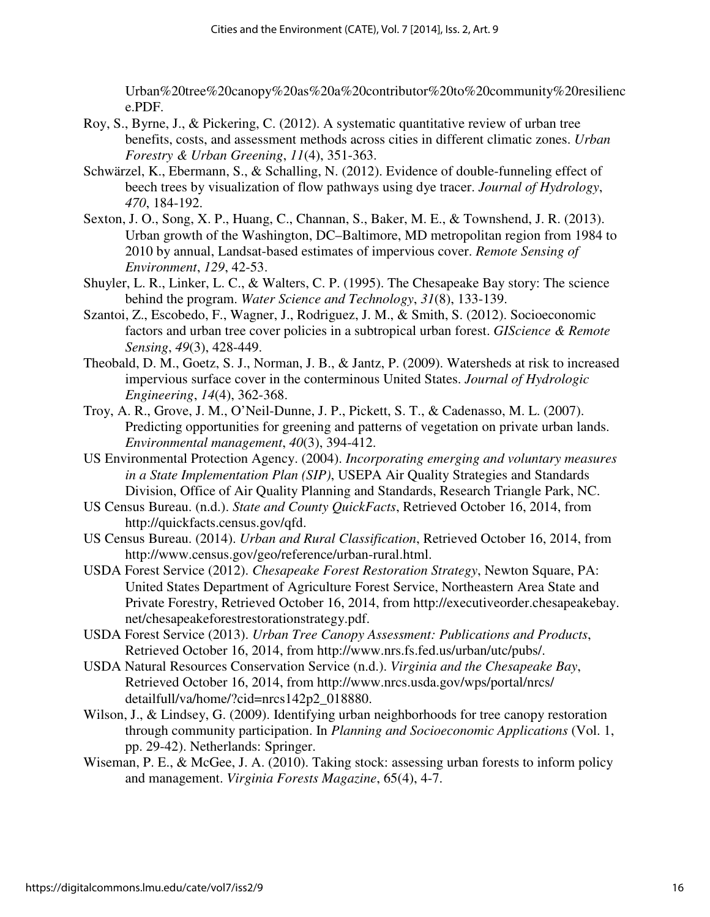Urban%20tree%20canopy%20as%20a%20contributor%20to%20community%20resilienc e.PDF.

- Roy, S., Byrne, J., & Pickering, C. (2012). A systematic quantitative review of urban tree benefits, costs, and assessment methods across cities in different climatic zones. *Urban Forestry & Urban Greening*, *11*(4), 351-363.
- Schwärzel, K., Ebermann, S., & Schalling, N. (2012). Evidence of double-funneling effect of beech trees by visualization of flow pathways using dye tracer. *Journal of Hydrology*, *470*, 184-192.
- Sexton, J. O., Song, X. P., Huang, C., Channan, S., Baker, M. E., & Townshend, J. R. (2013). Urban growth of the Washington, DC–Baltimore, MD metropolitan region from 1984 to 2010 by annual, Landsat-based estimates of impervious cover. *Remote Sensing of Environment*, *129*, 42-53.
- Shuyler, L. R., Linker, L. C., & Walters, C. P. (1995). The Chesapeake Bay story: The science behind the program. *Water Science and Technology*, *31*(8), 133-139.
- Szantoi, Z., Escobedo, F., Wagner, J., Rodriguez, J. M., & Smith, S. (2012). Socioeconomic factors and urban tree cover policies in a subtropical urban forest. *GIScience & Remote Sensing*, *49*(3), 428-449.
- Theobald, D. M., Goetz, S. J., Norman, J. B., & Jantz, P. (2009). Watersheds at risk to increased impervious surface cover in the conterminous United States. *Journal of Hydrologic Engineering*, *14*(4), 362-368.
- Troy, A. R., Grove, J. M., O'Neil-Dunne, J. P., Pickett, S. T., & Cadenasso, M. L. (2007). Predicting opportunities for greening and patterns of vegetation on private urban lands. *Environmental management*, *40*(3), 394-412.
- US Environmental Protection Agency. (2004). *Incorporating emerging and voluntary measures in a State Implementation Plan (SIP)*, USEPA Air Quality Strategies and Standards Division, Office of Air Quality Planning and Standards, Research Triangle Park, NC.
- US Census Bureau. (n.d.). *State and County QuickFacts*, Retrieved October 16, 2014, from http://quickfacts.census.gov/qfd.
- US Census Bureau. (2014). *Urban and Rural Classification*, Retrieved October 16, 2014, from http://www.census.gov/geo/reference/urban-rural.html.
- USDA Forest Service (2012). *Chesapeake Forest Restoration Strategy*, Newton Square, PA: United States Department of Agriculture Forest Service, Northeastern Area State and Private Forestry, Retrieved October 16, 2014, from http://executiveorder.chesapeakebay. net/chesapeakeforestrestorationstrategy.pdf.
- USDA Forest Service (2013). *Urban Tree Canopy Assessment: Publications and Products*, Retrieved October 16, 2014, from http://www.nrs.fs.fed.us/urban/utc/pubs/.
- USDA Natural Resources Conservation Service (n.d.). *Virginia and the Chesapeake Bay*, Retrieved October 16, 2014, from http://www.nrcs.usda.gov/wps/portal/nrcs/ detailfull/va/home/?cid=nrcs142p2\_018880.
- Wilson, J., & Lindsey, G. (2009). Identifying urban neighborhoods for tree canopy restoration through community participation. In *Planning and Socioeconomic Applications* (Vol. 1, pp. 29-42). Netherlands: Springer.
- Wiseman, P. E., & McGee, J. A. (2010). Taking stock: assessing urban forests to inform policy and management. *Virginia Forests Magazine*, 65(4), 4-7.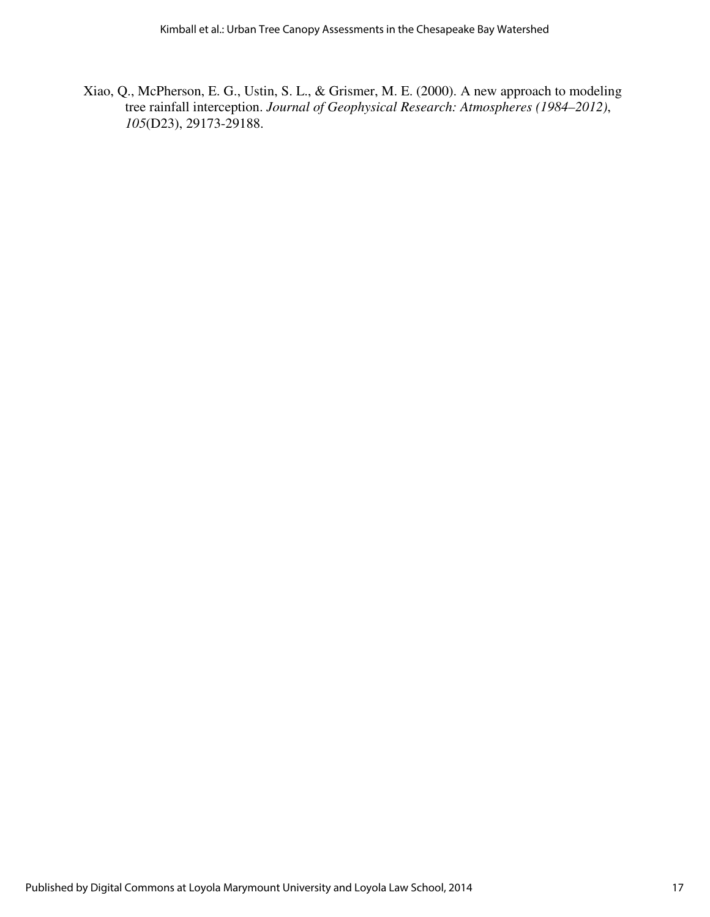Xiao, Q., McPherson, E. G., Ustin, S. L., & Grismer, M. E. (2000). A new approach to modeling tree rainfall interception. *Journal of Geophysical Research: Atmospheres (1984–2012)*, *105*(D23), 29173-29188.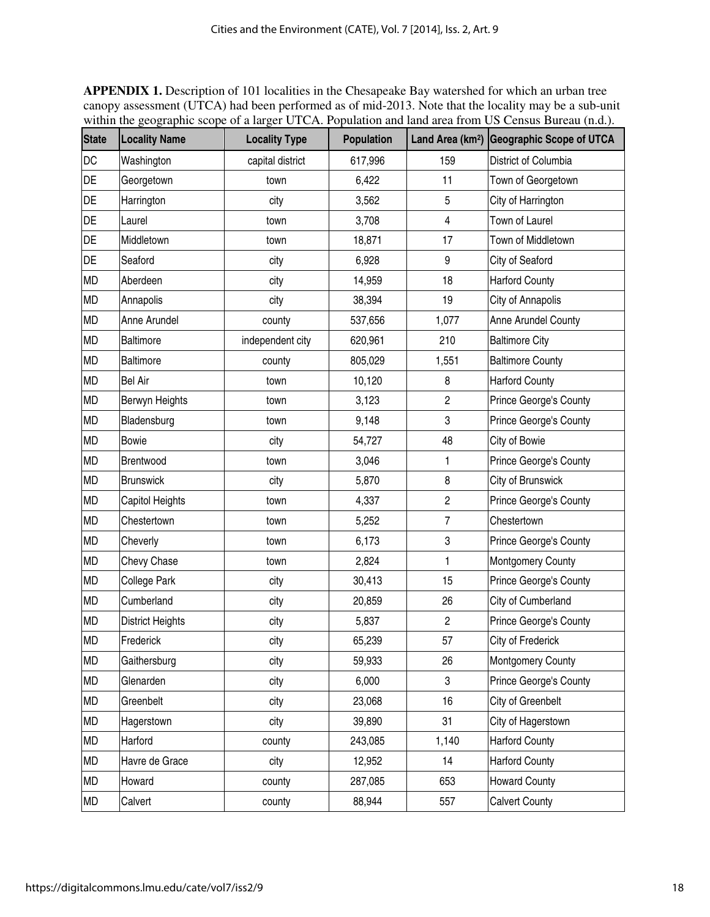**APPENDIX 1.** Description of 101 localities in the Chesapeake Bay watershed for which an urban tree canopy assessment (UTCA) had been performed as of mid-2013. Note that the locality may be a sub-unit within the geographic scope of a larger UTCA. Population and land area from US Census Bureau (n.d.).

| <b>State</b> | <b>Locality Name</b>    | <b>Locality Type</b> | Population |                         | Land Area (km <sup>2</sup> ) Geographic Scope of UTCA |
|--------------|-------------------------|----------------------|------------|-------------------------|-------------------------------------------------------|
| DC           | Washington              | capital district     | 617,996    | 159                     | District of Columbia                                  |
| DE           | Georgetown              | town                 | 6,422      | 11                      | Town of Georgetown                                    |
| DE           | Harrington              | city                 | 3,562      | 5                       | City of Harrington                                    |
| DE           | Laurel                  | town                 | 3,708      | 4                       | Town of Laurel                                        |
| DE           | Middletown              | town                 | 18,871     | 17                      | Town of Middletown                                    |
| DE           | Seaford                 | city                 | 6,928      | 9                       | City of Seaford                                       |
| <b>MD</b>    | Aberdeen                | city                 | 14,959     | 18                      | <b>Harford County</b>                                 |
| <b>MD</b>    | Annapolis               | city                 | 38,394     | 19                      | City of Annapolis                                     |
| MD           | Anne Arundel            | county               | 537,656    | 1,077                   | Anne Arundel County                                   |
| <b>MD</b>    | <b>Baltimore</b>        | independent city     | 620,961    | 210                     | <b>Baltimore City</b>                                 |
| <b>MD</b>    | Baltimore               | county               | 805,029    | 1,551                   | <b>Baltimore County</b>                               |
| MD           | <b>Bel Air</b>          | town                 | 10,120     | 8                       | <b>Harford County</b>                                 |
| MD           | Berwyn Heights          | town                 | 3,123      | $\overline{\mathbf{c}}$ | Prince George's County                                |
| <b>MD</b>    | Bladensburg             | town                 | 9,148      | 3                       | Prince George's County                                |
| <b>MD</b>    | Bowie                   | city                 | 54,727     | 48                      | City of Bowie                                         |
| MD           | Brentwood               | town                 | 3,046      | 1                       | Prince George's County                                |
| <b>MD</b>    | <b>Brunswick</b>        | city                 | 5,870      | 8                       | City of Brunswick                                     |
| <b>MD</b>    | Capitol Heights         | town                 | 4,337      | $\overline{\mathbf{c}}$ | Prince George's County                                |
| <b>MD</b>    | Chestertown             | town                 | 5,252      | $\overline{7}$          | Chestertown                                           |
| <b>MD</b>    | Cheverly                | town                 | 6,173      | 3                       | Prince George's County                                |
| <b>MD</b>    | Chevy Chase             | town                 | 2,824      | 1                       | Montgomery County                                     |
| <b>MD</b>    | College Park            | city                 | 30,413     | 15                      | Prince George's County                                |
| <b>MD</b>    | Cumberland              | city                 | 20,859     | 26                      | City of Cumberland                                    |
| <b>MD</b>    | <b>District Heights</b> | city                 | 5,837      | $\overline{c}$          | Prince George's County                                |
| <b>MD</b>    | Frederick               | city                 | 65,239     | 57                      | City of Frederick                                     |
| MD           | Gaithersburg            | city                 | 59,933     | 26                      | Montgomery County                                     |
| MD           | Glenarden               | city                 | 6,000      | 3                       | Prince George's County                                |
| MD           | Greenbelt               | city                 | 23,068     | 16                      | City of Greenbelt                                     |
| MD           | Hagerstown              | city                 | 39,890     | 31                      | City of Hagerstown                                    |
| MD           | Harford                 | county               | 243,085    | 1,140                   | <b>Harford County</b>                                 |
| MD           | Havre de Grace          | city                 | 12,952     | 14                      | <b>Harford County</b>                                 |
| MD           | Howard                  | county               | 287,085    | 653                     | <b>Howard County</b>                                  |
| MD           | Calvert                 | county               | 88,944     | 557                     | <b>Calvert County</b>                                 |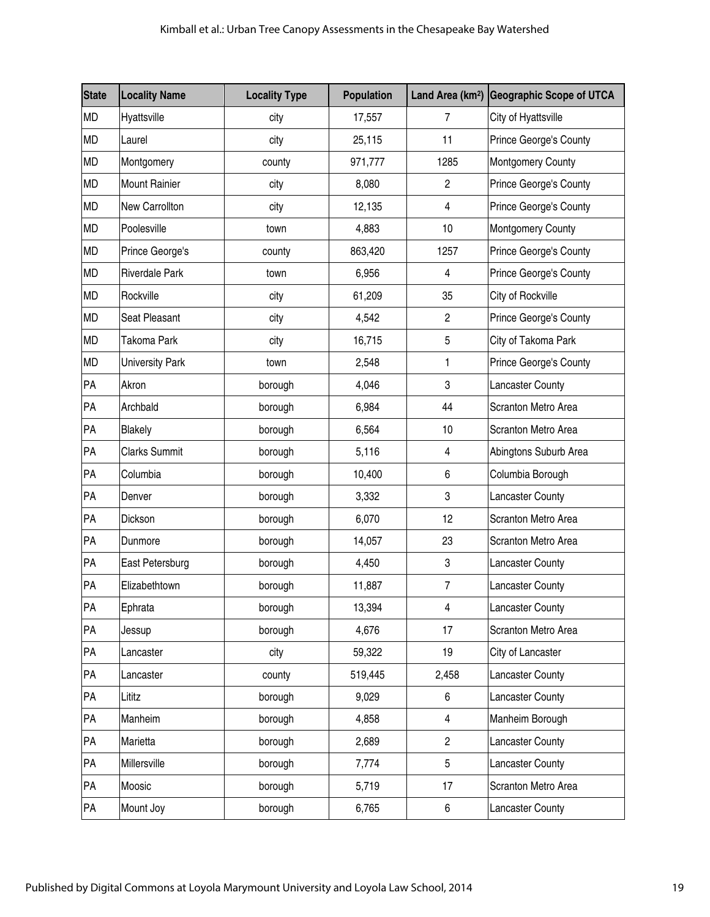| <b>State</b> | <b>Locality Name</b>   | <b>Locality Type</b> | Population |                | Land Area (km <sup>2</sup> ) Geographic Scope of UTCA |
|--------------|------------------------|----------------------|------------|----------------|-------------------------------------------------------|
| <b>MD</b>    | Hyattsville            | city                 | 17,557     | 7              | City of Hyattsville                                   |
| <b>MD</b>    | Laurel                 | city                 | 25,115     | 11             | Prince George's County                                |
| <b>MD</b>    | Montgomery             | county               | 971,777    | 1285           | Montgomery County                                     |
| <b>MD</b>    | <b>Mount Rainier</b>   | city                 | 8,080      | $\overline{c}$ | Prince George's County                                |
| <b>MD</b>    | <b>New Carrollton</b>  | city                 | 12,135     | 4              | Prince George's County                                |
| MD           | Poolesville            | town                 | 4,883      | 10             | <b>Montgomery County</b>                              |
| <b>MD</b>    | Prince George's        | county               | 863,420    | 1257           | Prince George's County                                |
| MD           | <b>Riverdale Park</b>  | town                 | 6,956      | 4              | Prince George's County                                |
| <b>MD</b>    | Rockville              | city                 | 61,209     | 35             | City of Rockville                                     |
| MD           | Seat Pleasant          | city                 | 4,542      | $\overline{c}$ | Prince George's County                                |
| MD           | Takoma Park            | city                 | 16,715     | 5              | City of Takoma Park                                   |
| <b>MD</b>    | <b>University Park</b> | town                 | 2,548      | 1              | Prince George's County                                |
| PA           | Akron                  | borough              | 4,046      | 3              | <b>Lancaster County</b>                               |
| PA           | Archbald               | borough              | 6,984      | 44             | Scranton Metro Area                                   |
| PA           | <b>Blakely</b>         | borough              | 6,564      | 10             | Scranton Metro Area                                   |
| PA           | <b>Clarks Summit</b>   | borough              | 5,116      | 4              | Abingtons Suburb Area                                 |
| PA           | Columbia               | borough              | 10,400     | 6              | Columbia Borough                                      |
| PA           | Denver                 | borough              | 3,332      | 3              | Lancaster County                                      |
| PA           | Dickson                | borough              | 6,070      | 12             | Scranton Metro Area                                   |
| PA           | Dunmore                | borough              | 14,057     | 23             | Scranton Metro Area                                   |
| PA           | East Petersburg        | borough              | 4,450      | 3              | <b>Lancaster County</b>                               |
| PA           | Elizabethtown          | borough              | 11,887     | $\overline{7}$ | <b>Lancaster County</b>                               |
| PA           | Ephrata                | borough              | 13,394     | $\overline{4}$ | <b>Lancaster County</b>                               |
| PA           | Jessup                 | borough              | 4,676      | 17             | Scranton Metro Area                                   |
| PA           | Lancaster              | city                 | 59,322     | 19             | City of Lancaster                                     |
| PA           | Lancaster              | county               | 519,445    | 2,458          | <b>Lancaster County</b>                               |
| PA           | Lititz                 | borough              | 9,029      | 6              | <b>Lancaster County</b>                               |
| PA           | Manheim                | borough              | 4,858      | 4              | Manheim Borough                                       |
| PA           | Marietta               | borough              | 2,689      | $\overline{c}$ | <b>Lancaster County</b>                               |
| PA           | Millersville           | borough              | 7,774      | 5              | <b>Lancaster County</b>                               |
| PA           | Moosic                 | borough              | 5,719      | 17             | Scranton Metro Area                                   |
| PA           | Mount Joy              | borough              | 6,765      | 6              | <b>Lancaster County</b>                               |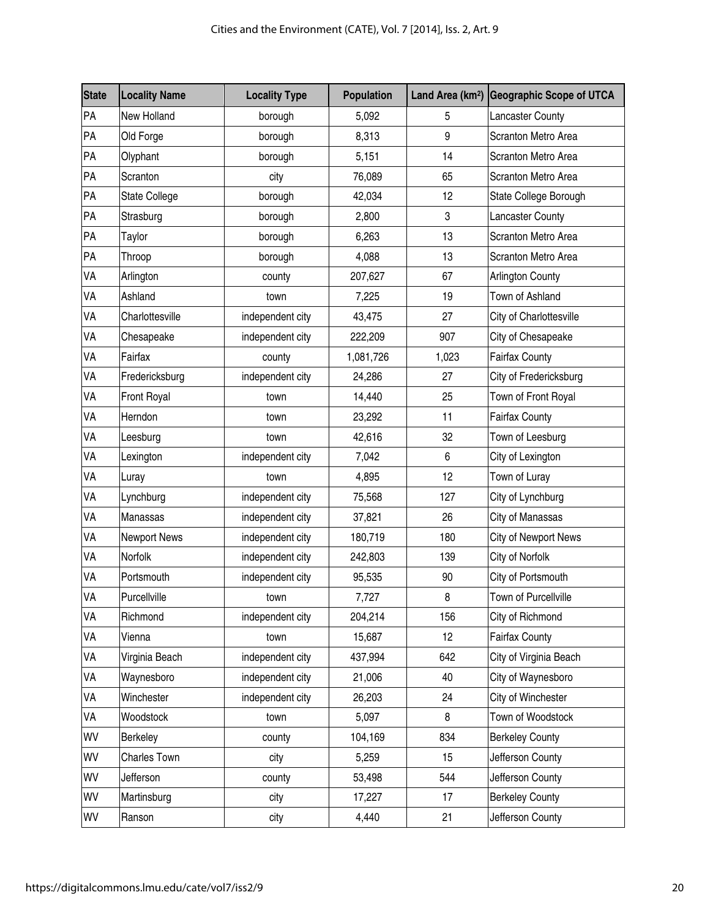| <b>State</b> | <b>Locality Name</b> | <b>Locality Type</b> | Population |                           | Land Area (km <sup>2</sup> ) Geographic Scope of UTCA |  |
|--------------|----------------------|----------------------|------------|---------------------------|-------------------------------------------------------|--|
| PA           | New Holland          | borough              | 5,092      | 5                         | <b>Lancaster County</b>                               |  |
| PA           | Old Forge            | borough              | 8,313      | 9                         | Scranton Metro Area                                   |  |
| PA           | Olyphant             | borough              | 5,151      | 14                        | Scranton Metro Area                                   |  |
| PA           | Scranton             | city                 | 76,089     | 65                        | Scranton Metro Area                                   |  |
| PA           | State College        | borough              | 42,034     | 12                        | State College Borough                                 |  |
| PA           | Strasburg            | borough              | 2,800      | $\ensuremath{\mathsf{3}}$ | <b>Lancaster County</b>                               |  |
| PA           | Taylor               | borough              | 6,263      | 13                        | Scranton Metro Area                                   |  |
| PA           | Throop               | borough              | 4,088      | 13                        | Scranton Metro Area                                   |  |
| VA           | Arlington            | county               | 207,627    | 67                        | <b>Arlington County</b>                               |  |
| VA           | Ashland              | town                 | 7,225      | 19                        | Town of Ashland                                       |  |
| VA           | Charlottesville      | independent city     | 43,475     | 27                        | City of Charlottesville                               |  |
| VA           | Chesapeake           | independent city     | 222,209    | 907                       | City of Chesapeake                                    |  |
| VA           | Fairfax              | county               | 1,081,726  | 1,023                     | <b>Fairfax County</b>                                 |  |
| VA           | Fredericksburg       | independent city     | 24,286     | 27                        | City of Fredericksburg                                |  |
| VA           | Front Royal          | town                 | 14,440     | 25                        | Town of Front Royal                                   |  |
| VA           | Herndon              | town                 | 23,292     | 11                        | <b>Fairfax County</b>                                 |  |
| VA           | Leesburg             | town                 | 42,616     | 32                        | Town of Leesburg                                      |  |
| VA           | Lexington            | independent city     | 7,042      | $\,6\,$                   | City of Lexington                                     |  |
| VA           | Luray                | town                 | 4,895      | 12                        | Town of Luray                                         |  |
| VA           | Lynchburg            | independent city     | 75,568     | 127                       | City of Lynchburg                                     |  |
| VA           | Manassas             | independent city     | 37,821     | 26                        | City of Manassas                                      |  |
| VA           | Newport News         | independent city     | 180,719    | 180                       | City of Newport News                                  |  |
| VA           | Norfolk              | independent city     | 242,803    | 139                       | City of Norfolk                                       |  |
| VA           | Portsmouth           | independent city     | 95,535     | 90                        | City of Portsmouth                                    |  |
| VA           | Purcellville         | town                 | 7,727      | 8                         | Town of Purcellville                                  |  |
| VA           | Richmond             | independent city     | 204,214    | 156                       | City of Richmond                                      |  |
| VA           | Vienna               | town                 | 15,687     | 12                        | <b>Fairfax County</b>                                 |  |
| VA           | Virginia Beach       | independent city     | 437,994    | 642                       | City of Virginia Beach                                |  |
| VA           | Waynesboro           | independent city     | 21,006     | 40                        | City of Waynesboro                                    |  |
| VA           | Winchester           | independent city     | 26,203     | 24                        | City of Winchester                                    |  |
| VA           | Woodstock            | town                 | 5,097      | 8                         | Town of Woodstock                                     |  |
| WV           | Berkeley             | county               | 104,169    | 834                       | <b>Berkeley County</b>                                |  |
| WV           | Charles Town         | city                 | 5,259      | 15                        | Jefferson County                                      |  |
| WV           | Jefferson            | county               | 53,498     | 544                       | Jefferson County                                      |  |
| WV           | Martinsburg          | city                 | 17,227     | 17                        | <b>Berkeley County</b>                                |  |
| WV           | Ranson               | city                 | 4,440      | 21                        | Jefferson County                                      |  |